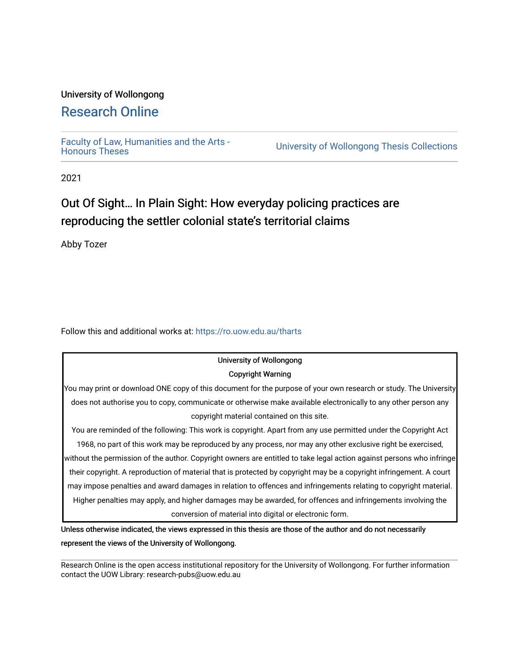#### University of Wollongong

# [Research Online](https://ro.uow.edu.au/)

[Faculty of Law, Humanities and the Arts -](https://ro.uow.edu.au/tharts)

University of Wollongong Thesis Collections

2021

# Out Of Sight... In Plain Sight: How everyday policing practices are reproducing the settler colonial state's territorial claims

Abby Tozer

Follow this and additional works at: [https://ro.uow.edu.au/tharts](https://ro.uow.edu.au/tharts?utm_source=ro.uow.edu.au%2Ftharts%2F5&utm_medium=PDF&utm_campaign=PDFCoverPages)

# University of Wollongong

#### Copyright Warning

You may print or download ONE copy of this document for the purpose of your own research or study. The University does not authorise you to copy, communicate or otherwise make available electronically to any other person any copyright material contained on this site.

You are reminded of the following: This work is copyright. Apart from any use permitted under the Copyright Act 1968, no part of this work may be reproduced by any process, nor may any other exclusive right be exercised, without the permission of the author. Copyright owners are entitled to take legal action against persons who infringe their copyright. A reproduction of material that is protected by copyright may be a copyright infringement. A court may impose penalties and award damages in relation to offences and infringements relating to copyright material. Higher penalties may apply, and higher damages may be awarded, for offences and infringements involving the conversion of material into digital or electronic form.

Unless otherwise indicated, the views expressed in this thesis are those of the author and do not necessarily represent the views of the University of Wollongong.

Research Online is the open access institutional repository for the University of Wollongong. For further information contact the UOW Library: research-pubs@uow.edu.au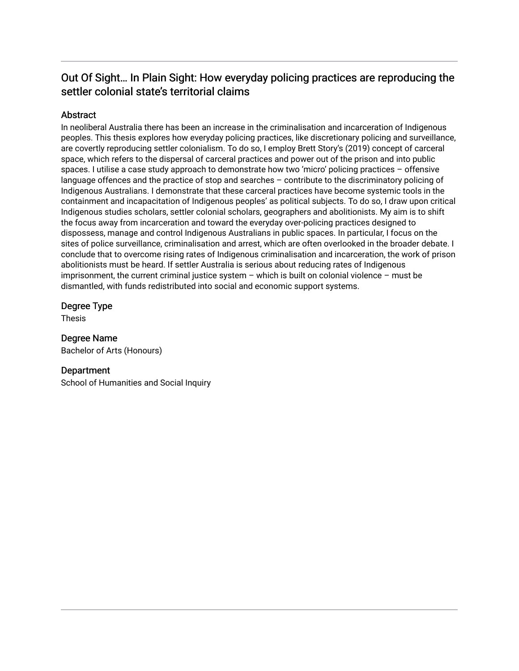## Out Of Sight... In Plain Sight: How everyday policing practices are reproducing the settler colonial state's territorial claims

#### **Abstract**

In neoliberal Australia there has been an increase in the criminalisation and incarceration of Indigenous peoples. This thesis explores how everyday policing practices, like discretionary policing and surveillance, are covertly reproducing settler colonialism. To do so, I employ Brett Story's (2019) concept of carceral space, which refers to the dispersal of carceral practices and power out of the prison and into public spaces. I utilise a case study approach to demonstrate how two 'micro' policing practices – offensive language offences and the practice of stop and searches – contribute to the discriminatory policing of Indigenous Australians. I demonstrate that these carceral practices have become systemic tools in the containment and incapacitation of Indigenous peoples' as political subjects. To do so, I draw upon critical Indigenous studies scholars, settler colonial scholars, geographers and abolitionists. My aim is to shift the focus away from incarceration and toward the everyday over-policing practices designed to dispossess, manage and control Indigenous Australians in public spaces. In particular, I focus on the sites of police surveillance, criminalisation and arrest, which are often overlooked in the broader debate. I conclude that to overcome rising rates of Indigenous criminalisation and incarceration, the work of prison abolitionists must be heard. If settler Australia is serious about reducing rates of Indigenous imprisonment, the current criminal justice system – which is built on colonial violence – must be dismantled, with funds redistributed into social and economic support systems.

#### Degree Type

Thesis

#### Degree Name

Bachelor of Arts (Honours)

#### **Department**

School of Humanities and Social Inquiry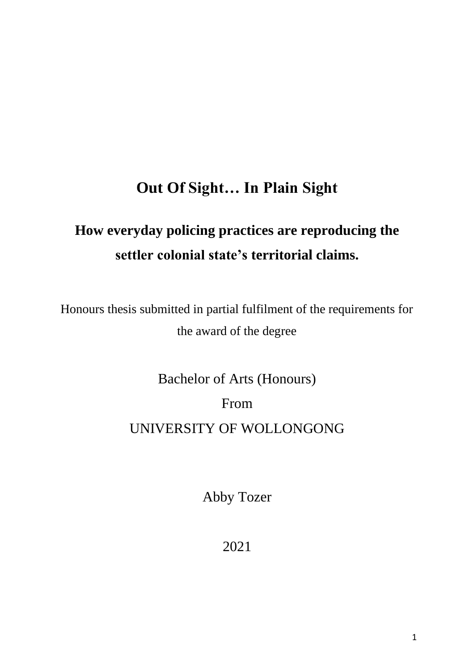# **Out Of Sight… In Plain Sight**

# **How everyday policing practices are reproducing the settler colonial state's territorial claims.**

Honours thesis submitted in partial fulfilment of the requirements for the award of the degree

Bachelor of Arts (Honours)

From

# UNIVERSITY OF WOLLONGONG

Abby Tozer

2021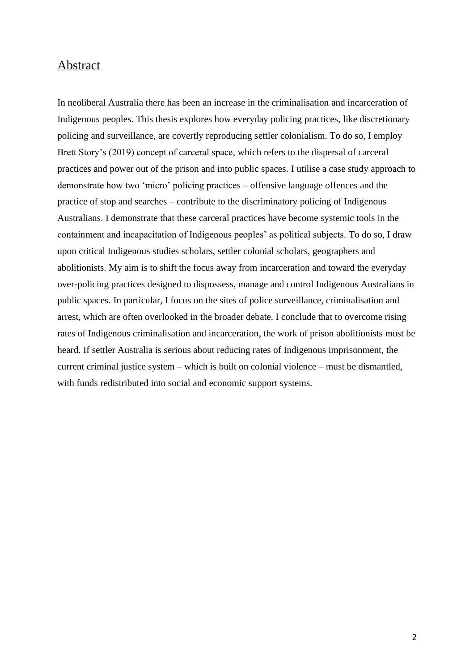#### Abstract

In neoliberal Australia there has been an increase in the criminalisation and incarceration of Indigenous peoples. This thesis explores how everyday policing practices, like discretionary policing and surveillance, are covertly reproducing settler colonialism. To do so, I employ Brett Story's (2019) concept of carceral space, which refers to the dispersal of carceral practices and power out of the prison and into public spaces. I utilise a case study approach to demonstrate how two 'micro' policing practices – offensive language offences and the practice of stop and searches – contribute to the discriminatory policing of Indigenous Australians. I demonstrate that these carceral practices have become systemic tools in the containment and incapacitation of Indigenous peoples' as political subjects. To do so, I draw upon critical Indigenous studies scholars, settler colonial scholars, geographers and abolitionists. My aim is to shift the focus away from incarceration and toward the everyday over-policing practices designed to dispossess, manage and control Indigenous Australians in public spaces. In particular, I focus on the sites of police surveillance, criminalisation and arrest, which are often overlooked in the broader debate. I conclude that to overcome rising rates of Indigenous criminalisation and incarceration, the work of prison abolitionists must be heard. If settler Australia is serious about reducing rates of Indigenous imprisonment, the current criminal justice system – which is built on colonial violence – must be dismantled, with funds redistributed into social and economic support systems.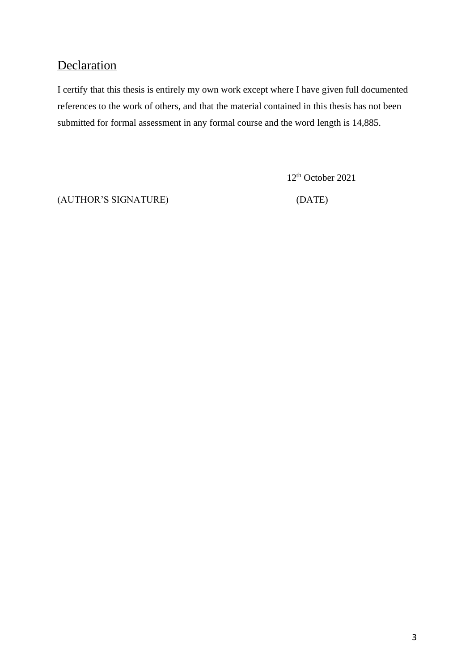# **Declaration**

I certify that this thesis is entirely my own work except where I have given full documented references to the work of others, and that the material contained in this thesis has not been submitted for formal assessment in any formal course and the word length is 14,885.

12 th October 2021

(AUTHOR'S SIGNATURE) (DATE)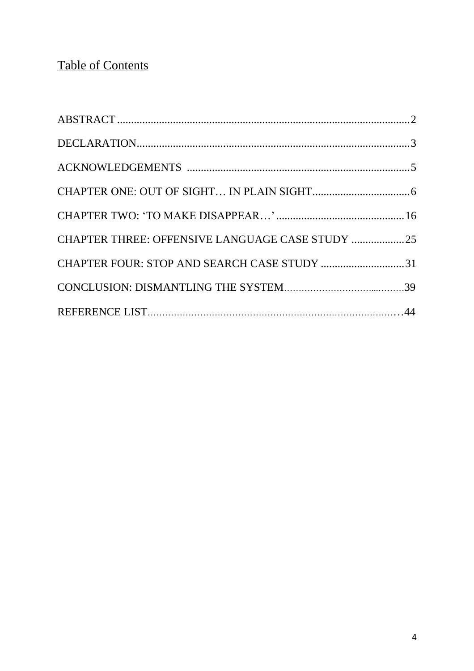# Table of Contents

| CHAPTER THREE: OFFENSIVE LANGUAGE CASE STUDY 25 |  |
|-------------------------------------------------|--|
| CHAPTER FOUR: STOP AND SEARCH CASE STUDY 31     |  |
|                                                 |  |
|                                                 |  |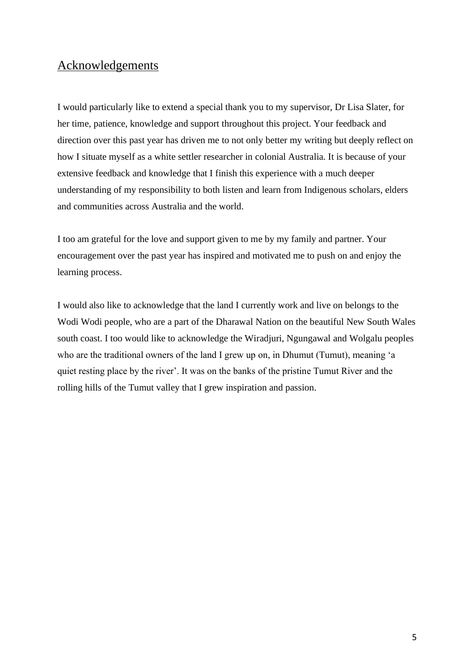# Acknowledgements

I would particularly like to extend a special thank you to my supervisor, Dr Lisa Slater, for her time, patience, knowledge and support throughout this project. Your feedback and direction over this past year has driven me to not only better my writing but deeply reflect on how I situate myself as a white settler researcher in colonial Australia. It is because of your extensive feedback and knowledge that I finish this experience with a much deeper understanding of my responsibility to both listen and learn from Indigenous scholars, elders and communities across Australia and the world.

I too am grateful for the love and support given to me by my family and partner. Your encouragement over the past year has inspired and motivated me to push on and enjoy the learning process.

I would also like to acknowledge that the land I currently work and live on belongs to the Wodi Wodi people, who are a part of the Dharawal Nation on the beautiful New South Wales south coast. I too would like to acknowledge the Wiradjuri, Ngungawal and Wolgalu peoples who are the traditional owners of the land I grew up on, in Dhumut (Tumut), meaning 'a quiet resting place by the river'. It was on the banks of the pristine Tumut River and the rolling hills of the Tumut valley that I grew inspiration and passion.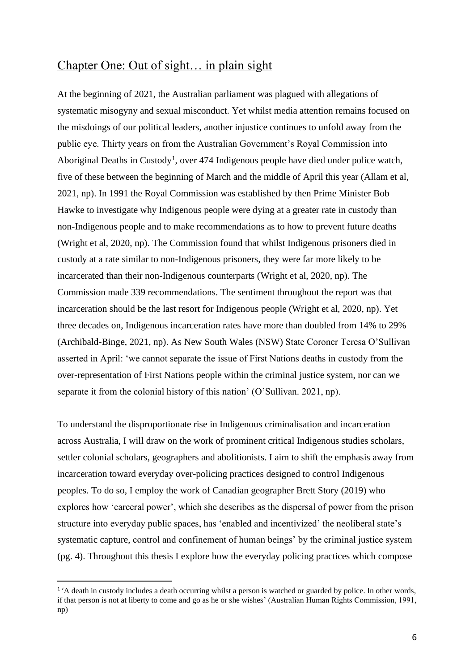### Chapter One: Out of sight… in plain sight

At the beginning of 2021, the Australian parliament was plagued with allegations of systematic misogyny and sexual misconduct. Yet whilst media attention remains focused on the misdoings of our political leaders, another injustice continues to unfold away from the public eye. Thirty years on from the Australian Government's Royal Commission into Aboriginal Deaths in Custody<sup>1</sup>, over 474 Indigenous people have died under police watch, five of these between the beginning of March and the middle of April this year (Allam et al, 2021, np). In 1991 the Royal Commission was established by then Prime Minister Bob Hawke to investigate why Indigenous people were dying at a greater rate in custody than non-Indigenous people and to make recommendations as to how to prevent future deaths (Wright et al, 2020, np). The Commission found that whilst Indigenous prisoners died in custody at a rate similar to non-Indigenous prisoners, they were far more likely to be incarcerated than their non-Indigenous counterparts (Wright et al, 2020, np). The Commission made 339 recommendations. The sentiment throughout the report was that incarceration should be the last resort for Indigenous people (Wright et al, 2020, np). Yet three decades on, Indigenous incarceration rates have more than doubled from 14% to 29% (Archibald-Binge, 2021, np). As New South Wales (NSW) State Coroner Teresa O'Sullivan asserted in April: 'we cannot separate the issue of First Nations deaths in custody from the over-representation of First Nations people within the criminal justice system, nor can we separate it from the colonial history of this nation' (O'Sullivan. 2021, np).

To understand the disproportionate rise in Indigenous criminalisation and incarceration across Australia, I will draw on the work of prominent critical Indigenous studies scholars, settler colonial scholars, geographers and abolitionists. I aim to shift the emphasis away from incarceration toward everyday over-policing practices designed to control Indigenous peoples. To do so, I employ the work of Canadian geographer Brett Story (2019) who explores how 'carceral power', which she describes as the dispersal of power from the prison structure into everyday public spaces, has 'enabled and incentivized' the neoliberal state's systematic capture, control and confinement of human beings' by the criminal justice system (pg. 4). Throughout this thesis I explore how the everyday policing practices which compose

<sup>&</sup>lt;sup>1</sup><sup>'</sup>A death in custody includes a death occurring whilst a person is watched or guarded by police. In other words, if that person is not at liberty to come and go as he or she wishes' (Australian Human Rights Commission, 1991, np)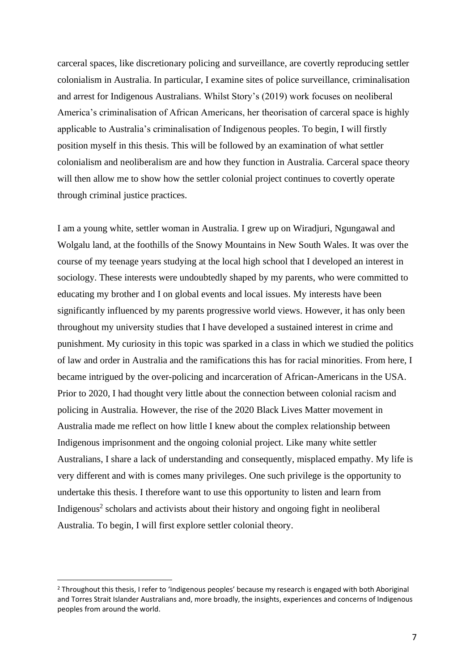carceral spaces, like discretionary policing and surveillance, are covertly reproducing settler colonialism in Australia. In particular, I examine sites of police surveillance, criminalisation and arrest for Indigenous Australians. Whilst Story's (2019) work focuses on neoliberal America's criminalisation of African Americans, her theorisation of carceral space is highly applicable to Australia's criminalisation of Indigenous peoples. To begin, I will firstly position myself in this thesis. This will be followed by an examination of what settler colonialism and neoliberalism are and how they function in Australia. Carceral space theory will then allow me to show how the settler colonial project continues to covertly operate through criminal justice practices.

I am a young white, settler woman in Australia. I grew up on Wiradjuri, Ngungawal and Wolgalu land, at the foothills of the Snowy Mountains in New South Wales. It was over the course of my teenage years studying at the local high school that I developed an interest in sociology. These interests were undoubtedly shaped by my parents, who were committed to educating my brother and I on global events and local issues. My interests have been significantly influenced by my parents progressive world views. However, it has only been throughout my university studies that I have developed a sustained interest in crime and punishment. My curiosity in this topic was sparked in a class in which we studied the politics of law and order in Australia and the ramifications this has for racial minorities. From here, I became intrigued by the over-policing and incarceration of African-Americans in the USA. Prior to 2020, I had thought very little about the connection between colonial racism and policing in Australia. However, the rise of the 2020 Black Lives Matter movement in Australia made me reflect on how little I knew about the complex relationship between Indigenous imprisonment and the ongoing colonial project. Like many white settler Australians, I share a lack of understanding and consequently, misplaced empathy. My life is very different and with is comes many privileges. One such privilege is the opportunity to undertake this thesis. I therefore want to use this opportunity to listen and learn from Indigenous<sup>2</sup> scholars and activists about their history and ongoing fight in neoliberal Australia. To begin, I will first explore settler colonial theory.

<sup>&</sup>lt;sup>2</sup> Throughout this thesis, I refer to 'Indigenous peoples' because my research is engaged with both Aboriginal and Torres Strait Islander Australians and, more broadly, the insights, experiences and concerns of Indigenous peoples from around the world.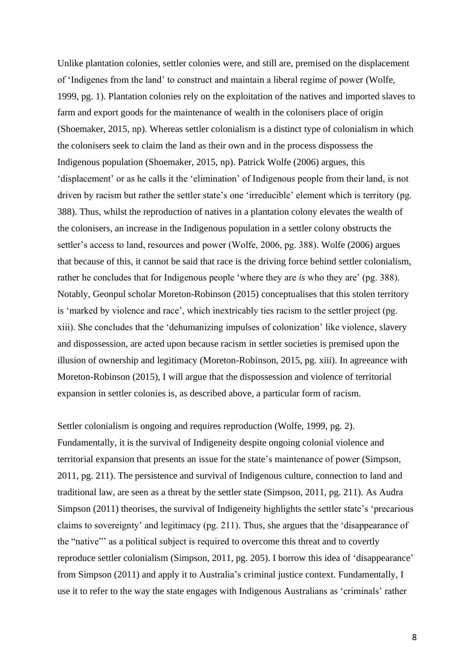Unlike plantation colonies, settler colonies were, and still are, premised on the displacement of 'Indigenes from the land' to construct and maintain a liberal regime of power (Wolfe, 1999, pg. 1). Plantation colonies rely on the exploitation of the natives and imported slaves to farm and export goods for the maintenance of wealth in the colonisers place of origin (Shoemaker, 2015, np). Whereas settler colonialism is a distinct type of colonialism in which the colonisers seek to claim the land as their own and in the process dispossess the Indigenous population (Shoemaker, 2015, np). Patrick Wolfe (2006) argues, this 'displacement' or as he calls it the 'elimination' of Indigenous people from their land, is not driven by racism but rather the settler state's one 'irreducible' element which is territory (pg. 388). Thus, whilst the reproduction of natives in a plantation colony elevates the wealth of the colonisers, an increase in the Indigenous population in a settler colony obstructs the settler's access to land, resources and power (Wolfe, 2006, pg. 388). Wolfe (2006) argues that because of this, it cannot be said that race is the driving force behind settler colonialism, rather he concludes that for Indigenous people 'where they are *is* who they are' (pg. 388). Notably, Geonpul scholar Moreton-Robinson (2015) conceptualises that this stolen territory is 'marked by violence and race', which inextricably ties racism to the settler project (pg. xiii). She concludes that the 'dehumanizing impulses of colonization' like violence, slavery and dispossession, are acted upon because racism in settler societies is premised upon the illusion of ownership and legitimacy (Moreton-Robinson, 2015, pg. xiii). In agreeance with Moreton-Robinson (2015), I will argue that the dispossession and violence of territorial expansion in settler colonies is, as described above, a particular form of racism.

Settler colonialism is ongoing and requires reproduction (Wolfe, 1999, pg. 2). Fundamentally, it is the survival of Indigeneity despite ongoing colonial violence and territorial expansion that presents an issue for the state's maintenance of power (Simpson, 2011, pg. 211). The persistence and survival of Indigenous culture, connection to land and traditional law, are seen as a threat by the settler state (Simpson, 2011, pg. 211). As Audra Simpson (2011) theorises, the survival of Indigeneity highlights the settler state's 'precarious claims to sovereignty' and legitimacy (pg. 211). Thus, she argues that the 'disappearance of the "native"' as a political subject is required to overcome this threat and to covertly reproduce settler colonialism (Simpson, 2011, pg. 205). I borrow this idea of 'disappearance' from Simpson (2011) and apply it to Australia's criminal justice context. Fundamentally, I use it to refer to the way the state engages with Indigenous Australians as 'criminals' rather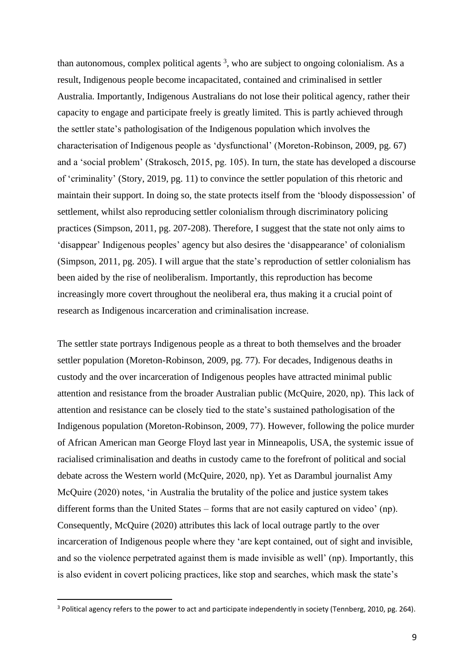than autonomous, complex political agents  $3$ , who are subject to ongoing colonialism. As a result, Indigenous people become incapacitated, contained and criminalised in settler Australia. Importantly, Indigenous Australians do not lose their political agency, rather their capacity to engage and participate freely is greatly limited. This is partly achieved through the settler state's pathologisation of the Indigenous population which involves the characterisation of Indigenous people as 'dysfunctional' (Moreton-Robinson, 2009, pg. 67) and a 'social problem' (Strakosch, 2015, pg. 105). In turn, the state has developed a discourse of 'criminality' (Story, 2019, pg. 11) to convince the settler population of this rhetoric and maintain their support. In doing so, the state protects itself from the 'bloody dispossession' of settlement, whilst also reproducing settler colonialism through discriminatory policing practices (Simpson, 2011, pg. 207-208). Therefore, I suggest that the state not only aims to 'disappear' Indigenous peoples' agency but also desires the 'disappearance' of colonialism (Simpson, 2011, pg. 205). I will argue that the state's reproduction of settler colonialism has been aided by the rise of neoliberalism. Importantly, this reproduction has become increasingly more covert throughout the neoliberal era, thus making it a crucial point of research as Indigenous incarceration and criminalisation increase.

The settler state portrays Indigenous people as a threat to both themselves and the broader settler population (Moreton-Robinson, 2009, pg. 77). For decades, Indigenous deaths in custody and the over incarceration of Indigenous peoples have attracted minimal public attention and resistance from the broader Australian public (McQuire, 2020, np). This lack of attention and resistance can be closely tied to the state's sustained pathologisation of the Indigenous population (Moreton-Robinson, 2009, 77). However, following the police murder of African American man George Floyd last year in Minneapolis, USA, the systemic issue of racialised criminalisation and deaths in custody came to the forefront of political and social debate across the Western world (McQuire, 2020, np). Yet as Darambul journalist Amy McQuire (2020) notes, 'in Australia the brutality of the police and justice system takes different forms than the United States – forms that are not easily captured on video' (np). Consequently, McQuire (2020) attributes this lack of local outrage partly to the over incarceration of Indigenous people where they 'are kept contained, out of sight and invisible, and so the violence perpetrated against them is made invisible as well' (np). Importantly, this is also evident in covert policing practices, like stop and searches, which mask the state's

<sup>&</sup>lt;sup>3</sup> Political agency refers to the power to act and participate independently in society (Tennberg, 2010, pg. 264).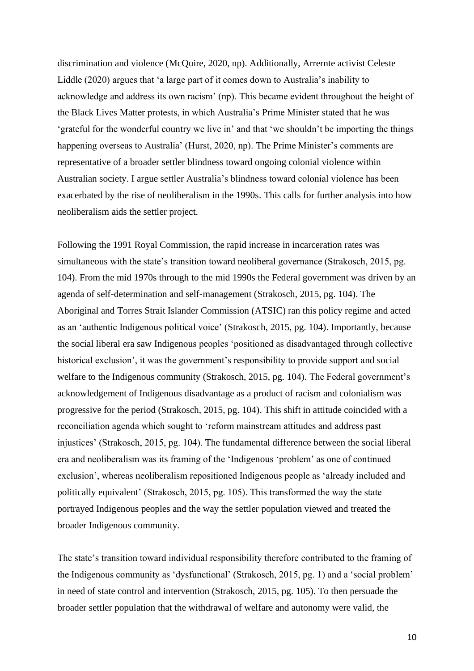discrimination and violence (McQuire, 2020, np). Additionally, Arrernte activist Celeste Liddle (2020) argues that 'a large part of it comes down to Australia's inability to acknowledge and address its own racism' (np). This became evident throughout the height of the Black Lives Matter protests, in which Australia's Prime Minister stated that he was 'grateful for the wonderful country we live in' and that 'we shouldn't be importing the things happening overseas to Australia' (Hurst, 2020, np). The Prime Minister's comments are representative of a broader settler blindness toward ongoing colonial violence within Australian society. I argue settler Australia's blindness toward colonial violence has been exacerbated by the rise of neoliberalism in the 1990s. This calls for further analysis into how neoliberalism aids the settler project.

Following the 1991 Royal Commission, the rapid increase in incarceration rates was simultaneous with the state's transition toward neoliberal governance (Strakosch, 2015, pg. 104). From the mid 1970s through to the mid 1990s the Federal government was driven by an agenda of self-determination and self-management (Strakosch, 2015, pg. 104). The Aboriginal and Torres Strait Islander Commission (ATSIC) ran this policy regime and acted as an 'authentic Indigenous political voice' (Strakosch, 2015, pg. 104). Importantly, because the social liberal era saw Indigenous peoples 'positioned as disadvantaged through collective historical exclusion', it was the government's responsibility to provide support and social welfare to the Indigenous community (Strakosch, 2015, pg. 104). The Federal government's acknowledgement of Indigenous disadvantage as a product of racism and colonialism was progressive for the period (Strakosch, 2015, pg. 104). This shift in attitude coincided with a reconciliation agenda which sought to 'reform mainstream attitudes and address past injustices' (Strakosch, 2015, pg. 104). The fundamental difference between the social liberal era and neoliberalism was its framing of the 'Indigenous 'problem' as one of continued exclusion', whereas neoliberalism repositioned Indigenous people as 'already included and politically equivalent' (Strakosch, 2015, pg. 105). This transformed the way the state portrayed Indigenous peoples and the way the settler population viewed and treated the broader Indigenous community.

The state's transition toward individual responsibility therefore contributed to the framing of the Indigenous community as 'dysfunctional' (Strakosch, 2015, pg. 1) and a 'social problem' in need of state control and intervention (Strakosch, 2015, pg. 105). To then persuade the broader settler population that the withdrawal of welfare and autonomy were valid, the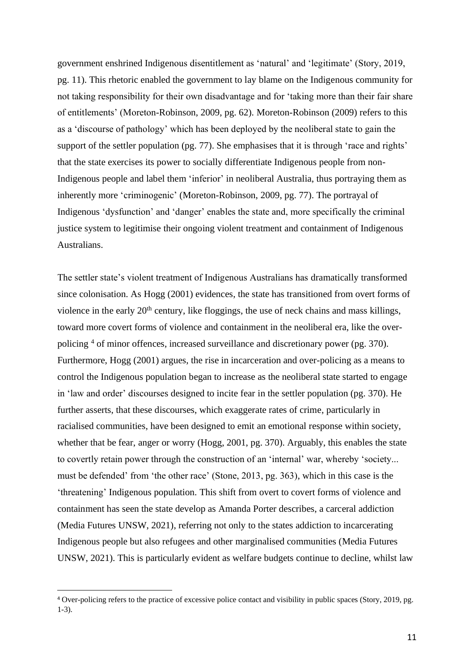government enshrined Indigenous disentitlement as 'natural' and 'legitimate' (Story, 2019, pg. 11). This rhetoric enabled the government to lay blame on the Indigenous community for not taking responsibility for their own disadvantage and for 'taking more than their fair share of entitlements' (Moreton-Robinson, 2009, pg. 62). Moreton-Robinson (2009) refers to this as a 'discourse of pathology' which has been deployed by the neoliberal state to gain the support of the settler population (pg. 77). She emphasises that it is through 'race and rights' that the state exercises its power to socially differentiate Indigenous people from non-Indigenous people and label them 'inferior' in neoliberal Australia, thus portraying them as inherently more 'criminogenic' (Moreton-Robinson, 2009, pg. 77). The portrayal of Indigenous 'dysfunction' and 'danger' enables the state and, more specifically the criminal justice system to legitimise their ongoing violent treatment and containment of Indigenous Australians.

The settler state's violent treatment of Indigenous Australians has dramatically transformed since colonisation. As Hogg (2001) evidences, the state has transitioned from overt forms of violence in the early  $20<sup>th</sup>$  century, like floggings, the use of neck chains and mass killings, toward more covert forms of violence and containment in the neoliberal era, like the overpolicing <sup>4</sup> of minor offences, increased surveillance and discretionary power (pg. 370). Furthermore, Hogg (2001) argues, the rise in incarceration and over-policing as a means to control the Indigenous population began to increase as the neoliberal state started to engage in 'law and order' discourses designed to incite fear in the settler population (pg. 370). He further asserts, that these discourses, which exaggerate rates of crime, particularly in racialised communities, have been designed to emit an emotional response within society, whether that be fear, anger or worry (Hogg, 2001, pg. 370). Arguably, this enables the state to covertly retain power through the construction of an 'internal' war, whereby 'society... must be defended' from 'the other race' (Stone, 2013, pg. 363), which in this case is the 'threatening' Indigenous population. This shift from overt to covert forms of violence and containment has seen the state develop as Amanda Porter describes, a carceral addiction (Media Futures UNSW, 2021), referring not only to the states addiction to incarcerating Indigenous people but also refugees and other marginalised communities (Media Futures UNSW, 2021). This is particularly evident as welfare budgets continue to decline, whilst law

<sup>4</sup> Over-policing refers to the practice of excessive police contact and visibility in public spaces (Story, 2019, pg. 1-3).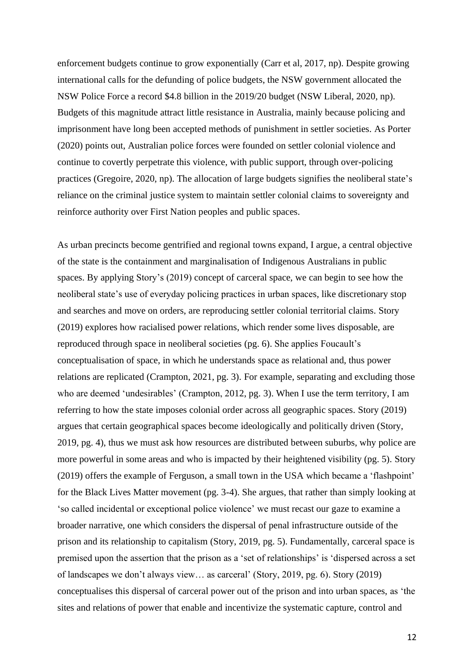enforcement budgets continue to grow exponentially (Carr et al, 2017, np). Despite growing international calls for the defunding of police budgets, the NSW government allocated the NSW Police Force a record \$4.8 billion in the 2019/20 budget (NSW Liberal, 2020, np). Budgets of this magnitude attract little resistance in Australia, mainly because policing and imprisonment have long been accepted methods of punishment in settler societies. As Porter (2020) points out, Australian police forces were founded on settler colonial violence and continue to covertly perpetrate this violence, with public support, through over-policing practices (Gregoire, 2020, np). The allocation of large budgets signifies the neoliberal state's reliance on the criminal justice system to maintain settler colonial claims to sovereignty and reinforce authority over First Nation peoples and public spaces.

As urban precincts become gentrified and regional towns expand, I argue, a central objective of the state is the containment and marginalisation of Indigenous Australians in public spaces. By applying Story's (2019) concept of carceral space, we can begin to see how the neoliberal state's use of everyday policing practices in urban spaces, like discretionary stop and searches and move on orders, are reproducing settler colonial territorial claims. Story (2019) explores how racialised power relations, which render some lives disposable, are reproduced through space in neoliberal societies (pg. 6). She applies Foucault's conceptualisation of space, in which he understands space as relational and, thus power relations are replicated (Crampton, 2021, pg. 3). For example, separating and excluding those who are deemed 'undesirables' (Crampton, 2012, pg. 3). When I use the term territory, I am referring to how the state imposes colonial order across all geographic spaces. Story (2019) argues that certain geographical spaces become ideologically and politically driven (Story, 2019, pg. 4), thus we must ask how resources are distributed between suburbs, why police are more powerful in some areas and who is impacted by their heightened visibility (pg. 5). Story (2019) offers the example of Ferguson, a small town in the USA which became a 'flashpoint' for the Black Lives Matter movement (pg. 3-4). She argues, that rather than simply looking at 'so called incidental or exceptional police violence' we must recast our gaze to examine a broader narrative, one which considers the dispersal of penal infrastructure outside of the prison and its relationship to capitalism (Story, 2019, pg. 5). Fundamentally, carceral space is premised upon the assertion that the prison as a 'set of relationships' is 'dispersed across a set of landscapes we don't always view… as carceral' (Story, 2019, pg. 6). Story (2019) conceptualises this dispersal of carceral power out of the prison and into urban spaces, as 'the sites and relations of power that enable and incentivize the systematic capture, control and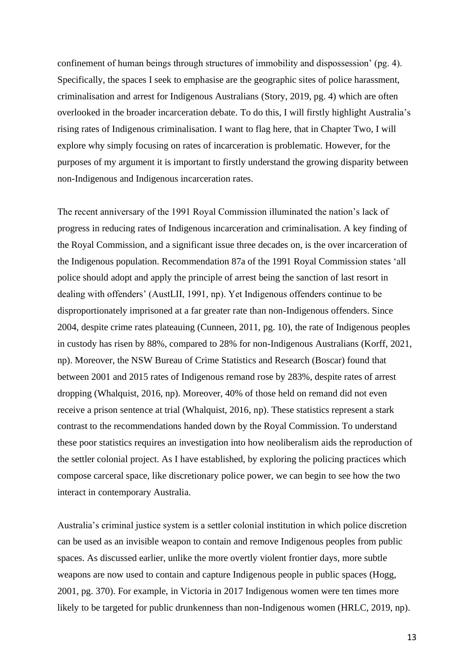confinement of human beings through structures of immobility and dispossession' (pg. 4). Specifically, the spaces I seek to emphasise are the geographic sites of police harassment, criminalisation and arrest for Indigenous Australians (Story, 2019, pg. 4) which are often overlooked in the broader incarceration debate. To do this, I will firstly highlight Australia's rising rates of Indigenous criminalisation. I want to flag here, that in Chapter Two, I will explore why simply focusing on rates of incarceration is problematic. However, for the purposes of my argument it is important to firstly understand the growing disparity between non-Indigenous and Indigenous incarceration rates.

The recent anniversary of the 1991 Royal Commission illuminated the nation's lack of progress in reducing rates of Indigenous incarceration and criminalisation. A key finding of the Royal Commission, and a significant issue three decades on, is the over incarceration of the Indigenous population. Recommendation 87a of the 1991 Royal Commission states 'all police should adopt and apply the principle of arrest being the sanction of last resort in dealing with offenders' (AustLII, 1991, np). Yet Indigenous offenders continue to be disproportionately imprisoned at a far greater rate than non-Indigenous offenders. Since 2004, despite crime rates plateauing (Cunneen, 2011, pg. 10), the rate of Indigenous peoples in custody has risen by 88%, compared to 28% for non-Indigenous Australians (Korff, 2021, np). Moreover, the NSW Bureau of Crime Statistics and Research (Boscar) found that between 2001 and 2015 rates of Indigenous remand rose by 283%, despite rates of arrest dropping (Whalquist, 2016, np). Moreover, 40% of those held on remand did not even receive a prison sentence at trial (Whalquist, 2016, np). These statistics represent a stark contrast to the recommendations handed down by the Royal Commission. To understand these poor statistics requires an investigation into how neoliberalism aids the reproduction of the settler colonial project. As I have established, by exploring the policing practices which compose carceral space, like discretionary police power, we can begin to see how the two interact in contemporary Australia.

Australia's criminal justice system is a settler colonial institution in which police discretion can be used as an invisible weapon to contain and remove Indigenous peoples from public spaces. As discussed earlier, unlike the more overtly violent frontier days, more subtle weapons are now used to contain and capture Indigenous people in public spaces (Hogg, 2001, pg. 370). For example, in Victoria in 2017 Indigenous women were ten times more likely to be targeted for public drunkenness than non-Indigenous women (HRLC, 2019, np).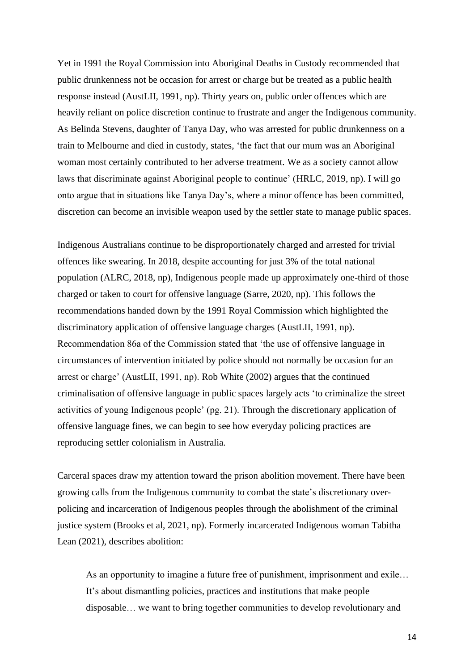Yet in 1991 the Royal Commission into Aboriginal Deaths in Custody recommended that public drunkenness not be occasion for arrest or charge but be treated as a public health response instead (AustLII, 1991, np). Thirty years on, public order offences which are heavily reliant on police discretion continue to frustrate and anger the Indigenous community. As Belinda Stevens, daughter of Tanya Day, who was arrested for public drunkenness on a train to Melbourne and died in custody, states, 'the fact that our mum was an Aboriginal woman most certainly contributed to her adverse treatment. We as a society cannot allow laws that discriminate against Aboriginal people to continue' (HRLC, 2019, np). I will go onto argue that in situations like Tanya Day's, where a minor offence has been committed, discretion can become an invisible weapon used by the settler state to manage public spaces.

Indigenous Australians continue to be disproportionately charged and arrested for trivial offences like swearing. In 2018, despite accounting for just 3% of the total national population (ALRC, 2018, np), Indigenous people made up approximately one-third of those charged or taken to court for offensive language (Sarre, 2020, np). This follows the recommendations handed down by the 1991 Royal Commission which highlighted the discriminatory application of offensive language charges (AustLII, 1991, np). Recommendation 86a of the Commission stated that 'the use of offensive language in circumstances of intervention initiated by police should not normally be occasion for an arrest or charge' (AustLII, 1991, np). Rob White (2002) argues that the continued criminalisation of offensive language in public spaces largely acts 'to criminalize the street activities of young Indigenous people' (pg. 21). Through the discretionary application of offensive language fines, we can begin to see how everyday policing practices are reproducing settler colonialism in Australia.

Carceral spaces draw my attention toward the prison abolition movement. There have been growing calls from the Indigenous community to combat the state's discretionary overpolicing and incarceration of Indigenous peoples through the abolishment of the criminal justice system (Brooks et al, 2021, np). Formerly incarcerated Indigenous woman Tabitha Lean (2021), describes abolition:

As an opportunity to imagine a future free of punishment, imprisonment and exile… It's about dismantling policies, practices and institutions that make people disposable… we want to bring together communities to develop revolutionary and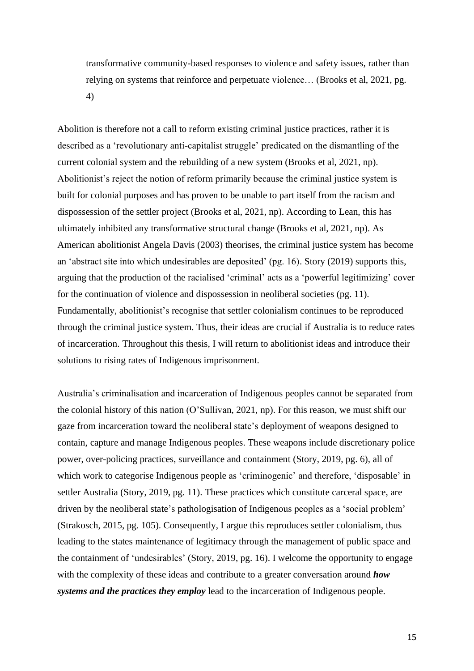transformative community-based responses to violence and safety issues, rather than relying on systems that reinforce and perpetuate violence… (Brooks et al, 2021, pg. 4)

Abolition is therefore not a call to reform existing criminal justice practices, rather it is described as a 'revolutionary anti-capitalist struggle' predicated on the dismantling of the current colonial system and the rebuilding of a new system (Brooks et al, 2021, np). Abolitionist's reject the notion of reform primarily because the criminal justice system is built for colonial purposes and has proven to be unable to part itself from the racism and dispossession of the settler project (Brooks et al, 2021, np). According to Lean, this has ultimately inhibited any transformative structural change (Brooks et al, 2021, np). As American abolitionist Angela Davis (2003) theorises, the criminal justice system has become an 'abstract site into which undesirables are deposited' (pg. 16). Story (2019) supports this, arguing that the production of the racialised 'criminal' acts as a 'powerful legitimizing' cover for the continuation of violence and dispossession in neoliberal societies (pg. 11). Fundamentally, abolitionist's recognise that settler colonialism continues to be reproduced through the criminal justice system. Thus, their ideas are crucial if Australia is to reduce rates of incarceration. Throughout this thesis, I will return to abolitionist ideas and introduce their solutions to rising rates of Indigenous imprisonment.

Australia's criminalisation and incarceration of Indigenous peoples cannot be separated from the colonial history of this nation (O'Sullivan, 2021, np). For this reason, we must shift our gaze from incarceration toward the neoliberal state's deployment of weapons designed to contain, capture and manage Indigenous peoples. These weapons include discretionary police power, over-policing practices, surveillance and containment (Story, 2019, pg. 6), all of which work to categorise Indigenous people as 'criminogenic' and therefore, 'disposable' in settler Australia (Story, 2019, pg. 11). These practices which constitute carceral space, are driven by the neoliberal state's pathologisation of Indigenous peoples as a 'social problem' (Strakosch, 2015, pg. 105). Consequently, I argue this reproduces settler colonialism, thus leading to the states maintenance of legitimacy through the management of public space and the containment of 'undesirables' (Story, 2019, pg. 16). I welcome the opportunity to engage with the complexity of these ideas and contribute to a greater conversation around *how systems and the practices they employ* lead to the incarceration of Indigenous people.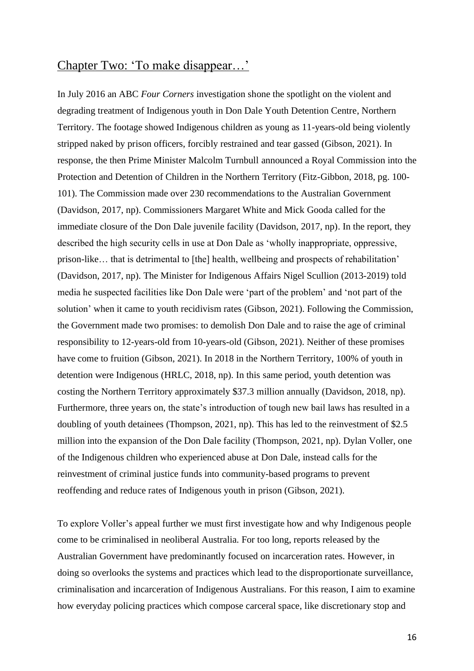### Chapter Two: 'To make disappear…'

In July 2016 an ABC *Four Corners* investigation shone the spotlight on the violent and degrading treatment of Indigenous youth in Don Dale Youth Detention Centre, Northern Territory. The footage showed Indigenous children as young as 11-years-old being violently stripped naked by prison officers, forcibly restrained and tear gassed (Gibson, 2021). In response, the then Prime Minister Malcolm Turnbull announced a Royal Commission into the Protection and Detention of Children in the Northern Territory (Fitz-Gibbon, 2018, pg. 100- 101). The Commission made over 230 recommendations to the Australian Government (Davidson, 2017, np). Commissioners Margaret White and Mick Gooda called for the immediate closure of the Don Dale juvenile facility (Davidson, 2017, np). In the report, they described the high security cells in use at Don Dale as 'wholly inappropriate, oppressive, prison-like… that is detrimental to [the] health, wellbeing and prospects of rehabilitation' (Davidson, 2017, np). The Minister for Indigenous Affairs Nigel Scullion (2013-2019) told media he suspected facilities like Don Dale were 'part of the problem' and 'not part of the solution' when it came to youth recidivism rates (Gibson, 2021). Following the Commission, the Government made two promises: to demolish Don Dale and to raise the age of criminal responsibility to 12-years-old from 10-years-old (Gibson, 2021). Neither of these promises have come to fruition (Gibson, 2021). In 2018 in the Northern Territory, 100% of youth in detention were Indigenous (HRLC, 2018, np). In this same period, youth detention was costing the Northern Territory approximately \$37.3 million annually (Davidson, 2018, np). Furthermore, three years on, the state's introduction of tough new bail laws has resulted in a doubling of youth detainees (Thompson, 2021, np). This has led to the reinvestment of \$2.5 million into the expansion of the Don Dale facility (Thompson, 2021, np). Dylan Voller, one of the Indigenous children who experienced abuse at Don Dale, instead calls for the reinvestment of criminal justice funds into community-based programs to prevent reoffending and reduce rates of Indigenous youth in prison (Gibson, 2021).

To explore Voller's appeal further we must first investigate how and why Indigenous people come to be criminalised in neoliberal Australia. For too long, reports released by the Australian Government have predominantly focused on incarceration rates. However, in doing so overlooks the systems and practices which lead to the disproportionate surveillance, criminalisation and incarceration of Indigenous Australians. For this reason, I aim to examine how everyday policing practices which compose carceral space, like discretionary stop and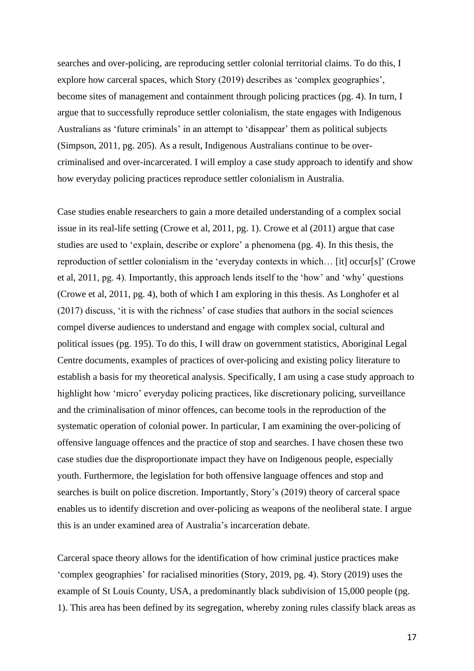searches and over-policing, are reproducing settler colonial territorial claims. To do this, I explore how carceral spaces, which Story (2019) describes as 'complex geographies', become sites of management and containment through policing practices (pg. 4). In turn, I argue that to successfully reproduce settler colonialism, the state engages with Indigenous Australians as 'future criminals' in an attempt to 'disappear' them as political subjects (Simpson, 2011, pg. 205). As a result, Indigenous Australians continue to be overcriminalised and over-incarcerated. I will employ a case study approach to identify and show how everyday policing practices reproduce settler colonialism in Australia.

Case studies enable researchers to gain a more detailed understanding of a complex social issue in its real-life setting (Crowe et al, 2011, pg. 1). Crowe et al (2011) argue that case studies are used to 'explain, describe or explore' a phenomena (pg. 4). In this thesis, the reproduction of settler colonialism in the 'everyday contexts in which… [it] occur[s]' (Crowe et al, 2011, pg. 4). Importantly, this approach lends itself to the 'how' and 'why' questions (Crowe et al, 2011, pg. 4), both of which I am exploring in this thesis. As Longhofer et al (2017) discuss, 'it is with the richness' of case studies that authors in the social sciences compel diverse audiences to understand and engage with complex social, cultural and political issues (pg. 195). To do this, I will draw on government statistics, Aboriginal Legal Centre documents, examples of practices of over-policing and existing policy literature to establish a basis for my theoretical analysis. Specifically, I am using a case study approach to highlight how 'micro' everyday policing practices, like discretionary policing, surveillance and the criminalisation of minor offences, can become tools in the reproduction of the systematic operation of colonial power. In particular, I am examining the over-policing of offensive language offences and the practice of stop and searches. I have chosen these two case studies due the disproportionate impact they have on Indigenous people, especially youth. Furthermore, the legislation for both offensive language offences and stop and searches is built on police discretion. Importantly, Story's (2019) theory of carceral space enables us to identify discretion and over-policing as weapons of the neoliberal state. I argue this is an under examined area of Australia's incarceration debate.

Carceral space theory allows for the identification of how criminal justice practices make 'complex geographies' for racialised minorities (Story, 2019, pg. 4). Story (2019) uses the example of St Louis County, USA, a predominantly black subdivision of 15,000 people (pg. 1). This area has been defined by its segregation, whereby zoning rules classify black areas as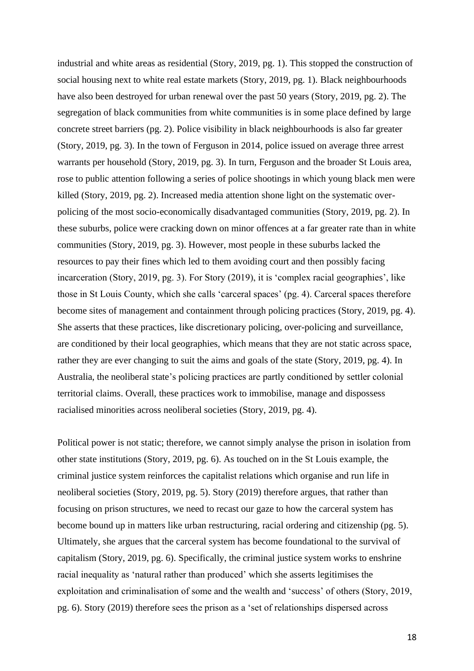industrial and white areas as residential (Story, 2019, pg. 1). This stopped the construction of social housing next to white real estate markets (Story, 2019, pg. 1). Black neighbourhoods have also been destroyed for urban renewal over the past 50 years (Story, 2019, pg. 2). The segregation of black communities from white communities is in some place defined by large concrete street barriers (pg. 2). Police visibility in black neighbourhoods is also far greater (Story, 2019, pg. 3). In the town of Ferguson in 2014, police issued on average three arrest warrants per household (Story, 2019, pg. 3). In turn, Ferguson and the broader St Louis area, rose to public attention following a series of police shootings in which young black men were killed (Story, 2019, pg. 2). Increased media attention shone light on the systematic overpolicing of the most socio-economically disadvantaged communities (Story, 2019, pg. 2). In these suburbs, police were cracking down on minor offences at a far greater rate than in white communities (Story, 2019, pg. 3). However, most people in these suburbs lacked the resources to pay their fines which led to them avoiding court and then possibly facing incarceration (Story, 2019, pg. 3). For Story (2019), it is 'complex racial geographies', like those in St Louis County, which she calls 'carceral spaces' (pg. 4). Carceral spaces therefore become sites of management and containment through policing practices (Story, 2019, pg. 4). She asserts that these practices, like discretionary policing, over-policing and surveillance, are conditioned by their local geographies, which means that they are not static across space, rather they are ever changing to suit the aims and goals of the state (Story, 2019, pg. 4). In Australia, the neoliberal state's policing practices are partly conditioned by settler colonial territorial claims. Overall, these practices work to immobilise, manage and dispossess racialised minorities across neoliberal societies (Story, 2019, pg. 4).

Political power is not static; therefore, we cannot simply analyse the prison in isolation from other state institutions (Story, 2019, pg. 6). As touched on in the St Louis example, the criminal justice system reinforces the capitalist relations which organise and run life in neoliberal societies (Story, 2019, pg. 5). Story (2019) therefore argues, that rather than focusing on prison structures, we need to recast our gaze to how the carceral system has become bound up in matters like urban restructuring, racial ordering and citizenship (pg. 5). Ultimately, she argues that the carceral system has become foundational to the survival of capitalism (Story, 2019, pg. 6). Specifically, the criminal justice system works to enshrine racial inequality as 'natural rather than produced' which she asserts legitimises the exploitation and criminalisation of some and the wealth and 'success' of others (Story, 2019, pg. 6). Story (2019) therefore sees the prison as a 'set of relationships dispersed across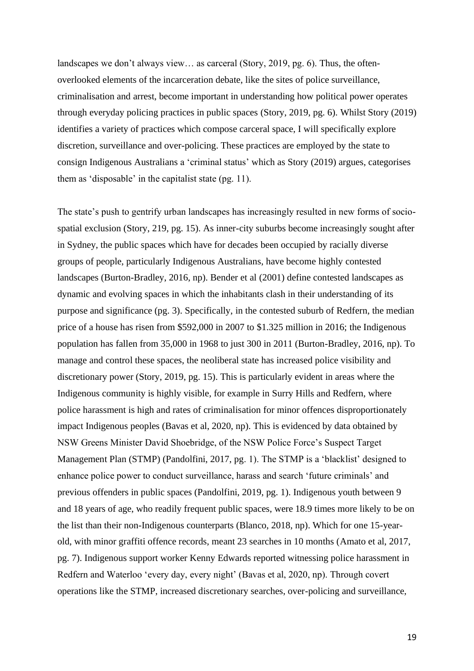landscapes we don't always view… as carceral (Story, 2019, pg. 6). Thus, the oftenoverlooked elements of the incarceration debate, like the sites of police surveillance, criminalisation and arrest, become important in understanding how political power operates through everyday policing practices in public spaces (Story, 2019, pg. 6). Whilst Story (2019) identifies a variety of practices which compose carceral space, I will specifically explore discretion, surveillance and over-policing. These practices are employed by the state to consign Indigenous Australians a 'criminal status' which as Story (2019) argues, categorises them as 'disposable' in the capitalist state (pg. 11).

The state's push to gentrify urban landscapes has increasingly resulted in new forms of sociospatial exclusion (Story, 219, pg. 15). As inner-city suburbs become increasingly sought after in Sydney, the public spaces which have for decades been occupied by racially diverse groups of people, particularly Indigenous Australians, have become highly contested landscapes (Burton-Bradley, 2016, np). Bender et al (2001) define contested landscapes as dynamic and evolving spaces in which the inhabitants clash in their understanding of its purpose and significance (pg. 3). Specifically, in the contested suburb of Redfern, the median price of a house has risen from \$592,000 in 2007 to \$1.325 million in 2016; the Indigenous population has fallen from 35,000 in 1968 to just 300 in 2011 (Burton-Bradley, 2016, np). To manage and control these spaces, the neoliberal state has increased police visibility and discretionary power (Story, 2019, pg. 15). This is particularly evident in areas where the Indigenous community is highly visible, for example in Surry Hills and Redfern, where police harassment is high and rates of criminalisation for minor offences disproportionately impact Indigenous peoples (Bavas et al, 2020, np). This is evidenced by data obtained by NSW Greens Minister David Shoebridge, of the NSW Police Force's Suspect Target Management Plan (STMP) (Pandolfini, 2017, pg. 1). The STMP is a 'blacklist' designed to enhance police power to conduct surveillance, harass and search 'future criminals' and previous offenders in public spaces (Pandolfini, 2019, pg. 1). Indigenous youth between 9 and 18 years of age, who readily frequent public spaces, were 18.9 times more likely to be on the list than their non-Indigenous counterparts (Blanco, 2018, np). Which for one 15-yearold, with minor graffiti offence records, meant 23 searches in 10 months (Amato et al, 2017, pg. 7). Indigenous support worker Kenny Edwards reported witnessing police harassment in Redfern and Waterloo 'every day, every night' (Bavas et al, 2020, np). Through covert operations like the STMP, increased discretionary searches, over-policing and surveillance,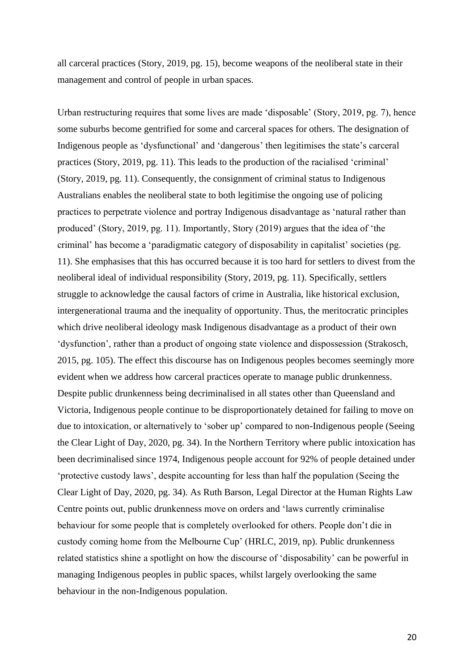all carceral practices (Story, 2019, pg. 15), become weapons of the neoliberal state in their management and control of people in urban spaces.

Urban restructuring requires that some lives are made 'disposable' (Story, 2019, pg. 7), hence some suburbs become gentrified for some and carceral spaces for others. The designation of Indigenous people as 'dysfunctional' and 'dangerous' then legitimises the state's carceral practices (Story, 2019, pg. 11). This leads to the production of the racialised 'criminal' (Story, 2019, pg. 11). Consequently, the consignment of criminal status to Indigenous Australians enables the neoliberal state to both legitimise the ongoing use of policing practices to perpetrate violence and portray Indigenous disadvantage as 'natural rather than produced' (Story, 2019, pg. 11). Importantly, Story (2019) argues that the idea of 'the criminal' has become a 'paradigmatic category of disposability in capitalist' societies (pg. 11). She emphasises that this has occurred because it is too hard for settlers to divest from the neoliberal ideal of individual responsibility (Story, 2019, pg. 11). Specifically, settlers struggle to acknowledge the causal factors of crime in Australia, like historical exclusion, intergenerational trauma and the inequality of opportunity. Thus, the meritocratic principles which drive neoliberal ideology mask Indigenous disadvantage as a product of their own 'dysfunction', rather than a product of ongoing state violence and dispossession (Strakosch, 2015, pg. 105). The effect this discourse has on Indigenous peoples becomes seemingly more evident when we address how carceral practices operate to manage public drunkenness. Despite public drunkenness being decriminalised in all states other than Queensland and Victoria, Indigenous people continue to be disproportionately detained for failing to move on due to intoxication, or alternatively to 'sober up' compared to non-Indigenous people (Seeing the Clear Light of Day, 2020, pg. 34). In the Northern Territory where public intoxication has been decriminalised since 1974, Indigenous people account for 92% of people detained under 'protective custody laws', despite accounting for less than half the population (Seeing the Clear Light of Day, 2020, pg. 34). As Ruth Barson, Legal Director at the Human Rights Law Centre points out, public drunkenness move on orders and 'laws currently criminalise behaviour for some people that is completely overlooked for others. People don't die in custody coming home from the Melbourne Cup' (HRLC, 2019, np). Public drunkenness related statistics shine a spotlight on how the discourse of 'disposability' can be powerful in managing Indigenous peoples in public spaces, whilst largely overlooking the same behaviour in the non-Indigenous population.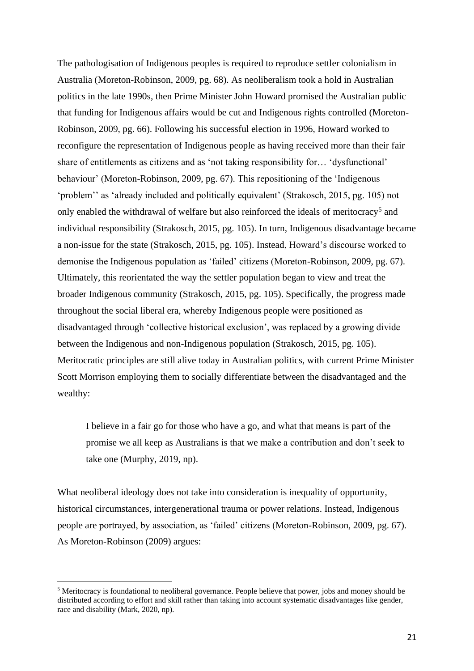The pathologisation of Indigenous peoples is required to reproduce settler colonialism in Australia (Moreton-Robinson, 2009, pg. 68). As neoliberalism took a hold in Australian politics in the late 1990s, then Prime Minister John Howard promised the Australian public that funding for Indigenous affairs would be cut and Indigenous rights controlled (Moreton-Robinson, 2009, pg. 66). Following his successful election in 1996, Howard worked to reconfigure the representation of Indigenous people as having received more than their fair share of entitlements as citizens and as 'not taking responsibility for… 'dysfunctional' behaviour' (Moreton-Robinson, 2009, pg. 67). This repositioning of the 'Indigenous 'problem'' as 'already included and politically equivalent' (Strakosch, 2015, pg. 105) not only enabled the withdrawal of welfare but also reinforced the ideals of meritocracy<sup>5</sup> and individual responsibility (Strakosch, 2015, pg. 105). In turn, Indigenous disadvantage became a non-issue for the state (Strakosch, 2015, pg. 105). Instead, Howard's discourse worked to demonise the Indigenous population as 'failed' citizens (Moreton-Robinson, 2009, pg. 67). Ultimately, this reorientated the way the settler population began to view and treat the broader Indigenous community (Strakosch, 2015, pg. 105). Specifically, the progress made throughout the social liberal era, whereby Indigenous people were positioned as disadvantaged through 'collective historical exclusion', was replaced by a growing divide between the Indigenous and non-Indigenous population (Strakosch, 2015, pg. 105). Meritocratic principles are still alive today in Australian politics, with current Prime Minister Scott Morrison employing them to socially differentiate between the disadvantaged and the wealthy:

I believe in a fair go for those who have a go, and what that means is part of the promise we all keep as Australians is that we make a contribution and don't seek to take one (Murphy, 2019, np).

What neoliberal ideology does not take into consideration is inequality of opportunity, historical circumstances, intergenerational trauma or power relations. Instead, Indigenous people are portrayed, by association, as 'failed' citizens (Moreton-Robinson, 2009, pg. 67). As Moreton-Robinson (2009) argues:

<sup>5</sup> Meritocracy is foundational to neoliberal governance. People believe that power, jobs and money should be distributed according to effort and skill rather than taking into account systematic disadvantages like gender, race and disability (Mark, 2020, np).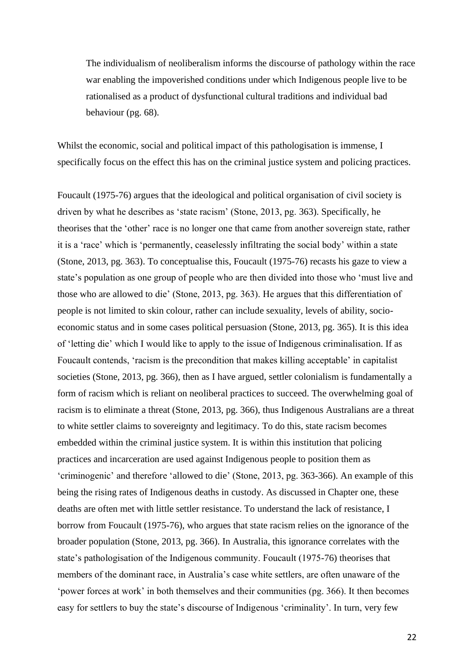The individualism of neoliberalism informs the discourse of pathology within the race war enabling the impoverished conditions under which Indigenous people live to be rationalised as a product of dysfunctional cultural traditions and individual bad behaviour (pg. 68).

Whilst the economic, social and political impact of this pathologisation is immense, I specifically focus on the effect this has on the criminal justice system and policing practices.

Foucault (1975-76) argues that the ideological and political organisation of civil society is driven by what he describes as 'state racism' (Stone, 2013, pg. 363). Specifically, he theorises that the 'other' race is no longer one that came from another sovereign state, rather it is a 'race' which is 'permanently, ceaselessly infiltrating the social body' within a state (Stone, 2013, pg. 363). To conceptualise this, Foucault (1975-76) recasts his gaze to view a state's population as one group of people who are then divided into those who 'must live and those who are allowed to die' (Stone, 2013, pg. 363). He argues that this differentiation of people is not limited to skin colour, rather can include sexuality, levels of ability, socioeconomic status and in some cases political persuasion (Stone, 2013, pg. 365). It is this idea of 'letting die' which I would like to apply to the issue of Indigenous criminalisation. If as Foucault contends, 'racism is the precondition that makes killing acceptable' in capitalist societies (Stone, 2013, pg. 366), then as I have argued, settler colonialism is fundamentally a form of racism which is reliant on neoliberal practices to succeed. The overwhelming goal of racism is to eliminate a threat (Stone, 2013, pg. 366), thus Indigenous Australians are a threat to white settler claims to sovereignty and legitimacy. To do this, state racism becomes embedded within the criminal justice system. It is within this institution that policing practices and incarceration are used against Indigenous people to position them as 'criminogenic' and therefore 'allowed to die' (Stone, 2013, pg. 363-366). An example of this being the rising rates of Indigenous deaths in custody. As discussed in Chapter one, these deaths are often met with little settler resistance. To understand the lack of resistance, I borrow from Foucault (1975-76), who argues that state racism relies on the ignorance of the broader population (Stone, 2013, pg. 366). In Australia, this ignorance correlates with the state's pathologisation of the Indigenous community. Foucault (1975-76) theorises that members of the dominant race, in Australia's case white settlers, are often unaware of the 'power forces at work' in both themselves and their communities (pg. 366). It then becomes easy for settlers to buy the state's discourse of Indigenous 'criminality'. In turn, very few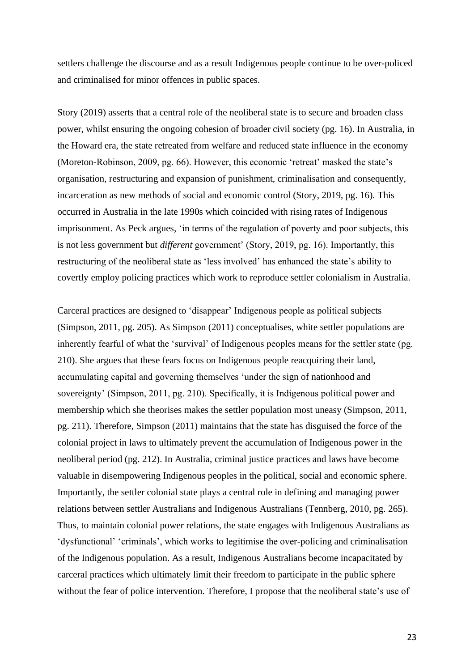settlers challenge the discourse and as a result Indigenous people continue to be over-policed and criminalised for minor offences in public spaces.

Story (2019) asserts that a central role of the neoliberal state is to secure and broaden class power, whilst ensuring the ongoing cohesion of broader civil society (pg. 16). In Australia, in the Howard era, the state retreated from welfare and reduced state influence in the economy (Moreton-Robinson, 2009, pg. 66). However, this economic 'retreat' masked the state's organisation, restructuring and expansion of punishment, criminalisation and consequently, incarceration as new methods of social and economic control (Story, 2019, pg. 16). This occurred in Australia in the late 1990s which coincided with rising rates of Indigenous imprisonment. As Peck argues, 'in terms of the regulation of poverty and poor subjects, this is not less government but *different* government' (Story, 2019, pg. 16). Importantly, this restructuring of the neoliberal state as 'less involved' has enhanced the state's ability to covertly employ policing practices which work to reproduce settler colonialism in Australia.

Carceral practices are designed to 'disappear' Indigenous people as political subjects (Simpson, 2011, pg. 205). As Simpson (2011) conceptualises, white settler populations are inherently fearful of what the 'survival' of Indigenous peoples means for the settler state (pg. 210). She argues that these fears focus on Indigenous people reacquiring their land, accumulating capital and governing themselves 'under the sign of nationhood and sovereignty' (Simpson, 2011, pg. 210). Specifically, it is Indigenous political power and membership which she theorises makes the settler population most uneasy (Simpson, 2011, pg. 211). Therefore, Simpson (2011) maintains that the state has disguised the force of the colonial project in laws to ultimately prevent the accumulation of Indigenous power in the neoliberal period (pg. 212). In Australia, criminal justice practices and laws have become valuable in disempowering Indigenous peoples in the political, social and economic sphere. Importantly, the settler colonial state plays a central role in defining and managing power relations between settler Australians and Indigenous Australians (Tennberg, 2010, pg. 265). Thus, to maintain colonial power relations, the state engages with Indigenous Australians as 'dysfunctional' 'criminals', which works to legitimise the over-policing and criminalisation of the Indigenous population. As a result, Indigenous Australians become incapacitated by carceral practices which ultimately limit their freedom to participate in the public sphere without the fear of police intervention. Therefore, I propose that the neoliberal state's use of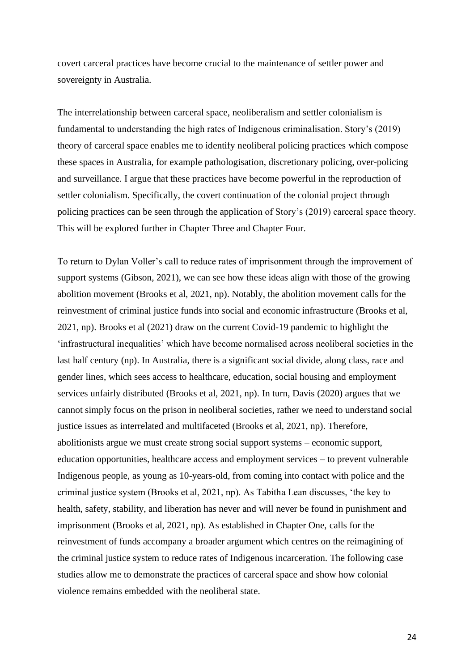covert carceral practices have become crucial to the maintenance of settler power and sovereignty in Australia.

The interrelationship between carceral space, neoliberalism and settler colonialism is fundamental to understanding the high rates of Indigenous criminalisation. Story's (2019) theory of carceral space enables me to identify neoliberal policing practices which compose these spaces in Australia, for example pathologisation, discretionary policing, over-policing and surveillance. I argue that these practices have become powerful in the reproduction of settler colonialism. Specifically, the covert continuation of the colonial project through policing practices can be seen through the application of Story's (2019) carceral space theory. This will be explored further in Chapter Three and Chapter Four.

To return to Dylan Voller's call to reduce rates of imprisonment through the improvement of support systems (Gibson, 2021), we can see how these ideas align with those of the growing abolition movement (Brooks et al, 2021, np). Notably, the abolition movement calls for the reinvestment of criminal justice funds into social and economic infrastructure (Brooks et al, 2021, np). Brooks et al (2021) draw on the current Covid-19 pandemic to highlight the 'infrastructural inequalities' which have become normalised across neoliberal societies in the last half century (np). In Australia, there is a significant social divide, along class, race and gender lines, which sees access to healthcare, education, social housing and employment services unfairly distributed (Brooks et al, 2021, np). In turn, Davis (2020) argues that we cannot simply focus on the prison in neoliberal societies, rather we need to understand social justice issues as interrelated and multifaceted (Brooks et al, 2021, np). Therefore, abolitionists argue we must create strong social support systems – economic support, education opportunities, healthcare access and employment services – to prevent vulnerable Indigenous people, as young as 10-years-old, from coming into contact with police and the criminal justice system (Brooks et al, 2021, np). As Tabitha Lean discusses, 'the key to health, safety, stability, and liberation has never and will never be found in punishment and imprisonment (Brooks et al, 2021, np). As established in Chapter One, calls for the reinvestment of funds accompany a broader argument which centres on the reimagining of the criminal justice system to reduce rates of Indigenous incarceration. The following case studies allow me to demonstrate the practices of carceral space and show how colonial violence remains embedded with the neoliberal state.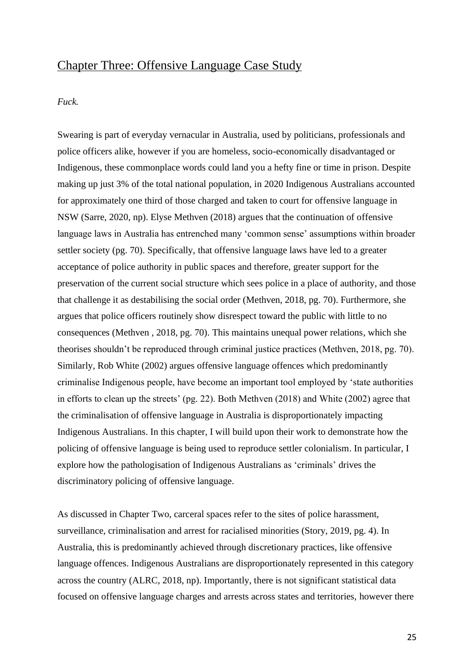### Chapter Three: Offensive Language Case Study

#### *Fuck.*

Swearing is part of everyday vernacular in Australia, used by politicians, professionals and police officers alike, however if you are homeless, socio-economically disadvantaged or Indigenous, these commonplace words could land you a hefty fine or time in prison. Despite making up just 3% of the total national population, in 2020 Indigenous Australians accounted for approximately one third of those charged and taken to court for offensive language in NSW (Sarre, 2020, np). Elyse Methven (2018) argues that the continuation of offensive language laws in Australia has entrenched many 'common sense' assumptions within broader settler society (pg. 70). Specifically, that offensive language laws have led to a greater acceptance of police authority in public spaces and therefore, greater support for the preservation of the current social structure which sees police in a place of authority, and those that challenge it as destabilising the social order (Methven, 2018, pg. 70). Furthermore, she argues that police officers routinely show disrespect toward the public with little to no consequences (Methven , 2018, pg. 70). This maintains unequal power relations, which she theorises shouldn't be reproduced through criminal justice practices (Methven, 2018, pg. 70). Similarly, Rob White (2002) argues offensive language offences which predominantly criminalise Indigenous people, have become an important tool employed by 'state authorities in efforts to clean up the streets' (pg. 22). Both Methven (2018) and White (2002) agree that the criminalisation of offensive language in Australia is disproportionately impacting Indigenous Australians. In this chapter, I will build upon their work to demonstrate how the policing of offensive language is being used to reproduce settler colonialism. In particular, I explore how the pathologisation of Indigenous Australians as 'criminals' drives the discriminatory policing of offensive language.

As discussed in Chapter Two, carceral spaces refer to the sites of police harassment, surveillance, criminalisation and arrest for racialised minorities (Story, 2019, pg. 4). In Australia, this is predominantly achieved through discretionary practices, like offensive language offences. Indigenous Australians are disproportionately represented in this category across the country (ALRC, 2018, np). Importantly, there is not significant statistical data focused on offensive language charges and arrests across states and territories, however there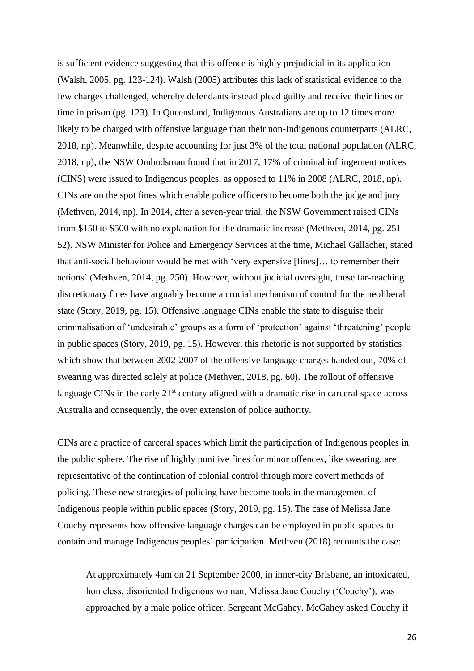is sufficient evidence suggesting that this offence is highly prejudicial in its application (Walsh, 2005, pg. 123-124). Walsh (2005) attributes this lack of statistical evidence to the few charges challenged, whereby defendants instead plead guilty and receive their fines or time in prison (pg. 123). In Queensland, Indigenous Australians are up to 12 times more likely to be charged with offensive language than their non-Indigenous counterparts (ALRC, 2018, np). Meanwhile, despite accounting for just 3% of the total national population (ALRC, 2018, np), the NSW Ombudsman found that in 2017, 17% of criminal infringement notices (CINS) were issued to Indigenous peoples, as opposed to 11% in 2008 (ALRC, 2018, np). CINs are on the spot fines which enable police officers to become both the judge and jury (Methven, 2014, np). In 2014, after a seven-year trial, the NSW Government raised CINs from \$150 to \$500 with no explanation for the dramatic increase (Methven, 2014, pg. 251- 52). NSW Minister for Police and Emergency Services at the time, Michael Gallacher, stated that anti-social behaviour would be met with 'very expensive [fines]… to remember their actions' (Methven, 2014, pg. 250). However, without judicial oversight, these far-reaching discretionary fines have arguably become a crucial mechanism of control for the neoliberal state (Story, 2019, pg. 15). Offensive language CINs enable the state to disguise their criminalisation of 'undesirable' groups as a form of 'protection' against 'threatening' people in public spaces (Story, 2019, pg. 15). However, this rhetoric is not supported by statistics which show that between 2002-2007 of the offensive language charges handed out, 70% of swearing was directed solely at police (Methven, 2018, pg. 60). The rollout of offensive language CINs in the early  $21<sup>st</sup>$  century aligned with a dramatic rise in carceral space across Australia and consequently, the over extension of police authority.

CINs are a practice of carceral spaces which limit the participation of Indigenous peoples in the public sphere. The rise of highly punitive fines for minor offences, like swearing, are representative of the continuation of colonial control through more covert methods of policing. These new strategies of policing have become tools in the management of Indigenous people within public spaces (Story, 2019, pg. 15). The case of Melissa Jane Couchy represents how offensive language charges can be employed in public spaces to contain and manage Indigenous peoples' participation. Methven (2018) recounts the case:

At approximately 4am on 21 September 2000, in inner-city Brisbane, an intoxicated, homeless, disoriented Indigenous woman, Melissa Jane Couchy ('Couchy'), was approached by a male police officer, Sergeant McGahey. McGahey asked Couchy if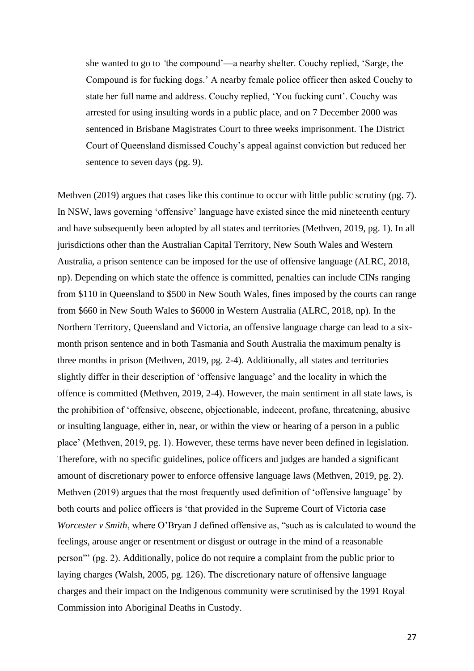she wanted to go to *'*the compound'—a nearby shelter. Couchy replied, 'Sarge, the Compound is for fucking dogs.' A nearby female police officer then asked Couchy to state her full name and address. Couchy replied, 'You fucking cunt'. Couchy was arrested for using insulting words in a public place, and on 7 December 2000 was sentenced in Brisbane Magistrates Court to three weeks imprisonment. The District Court of Queensland dismissed Couchy's appeal against conviction but reduced her sentence to seven days (pg. 9).

Methven (2019) argues that cases like this continue to occur with little public scrutiny (pg. 7). In NSW, laws governing 'offensive' language have existed since the mid nineteenth century and have subsequently been adopted by all states and territories (Methven, 2019, pg. 1). In all jurisdictions other than the Australian Capital Territory, New South Wales and Western Australia, a prison sentence can be imposed for the use of offensive language (ALRC, 2018, np). Depending on which state the offence is committed, penalties can include CINs ranging from \$110 in Queensland to \$500 in New South Wales, fines imposed by the courts can range from \$660 in New South Wales to \$6000 in Western Australia (ALRC, 2018, np). In the Northern Territory, Queensland and Victoria, an offensive language charge can lead to a sixmonth prison sentence and in both Tasmania and South Australia the maximum penalty is three months in prison (Methven, 2019, pg. 2-4). Additionally, all states and territories slightly differ in their description of 'offensive language' and the locality in which the offence is committed (Methven, 2019, 2-4). However, the main sentiment in all state laws, is the prohibition of 'offensive, obscene, objectionable, indecent, profane, threatening, abusive or insulting language, either in, near, or within the view or hearing of a person in a public place' (Methven, 2019, pg. 1). However, these terms have never been defined in legislation. Therefore, with no specific guidelines, police officers and judges are handed a significant amount of discretionary power to enforce offensive language laws (Methven, 2019, pg. 2). Methven (2019) argues that the most frequently used definition of 'offensive language' by both courts and police officers is 'that provided in the Supreme Court of Victoria case *Worcester v Smith*, where O'Bryan J defined offensive as, "such as is calculated to wound the feelings, arouse anger or resentment or disgust or outrage in the mind of a reasonable person"' (pg. 2). Additionally, police do not require a complaint from the public prior to laying charges (Walsh, 2005, pg. 126). The discretionary nature of offensive language charges and their impact on the Indigenous community were scrutinised by the 1991 Royal Commission into Aboriginal Deaths in Custody.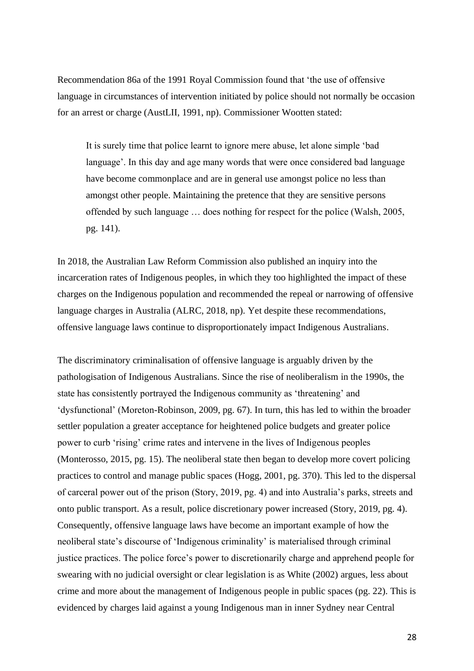Recommendation 86a of the 1991 Royal Commission found that 'the use of offensive language in circumstances of intervention initiated by police should not normally be occasion for an arrest or charge (AustLII, 1991, np). Commissioner Wootten stated:

It is surely time that police learnt to ignore mere abuse, let alone simple 'bad language'. In this day and age many words that were once considered bad language have become commonplace and are in general use amongst police no less than amongst other people. Maintaining the pretence that they are sensitive persons offended by such language … does nothing for respect for the police (Walsh, 2005, pg. 141).

In 2018, the Australian Law Reform Commission also published an inquiry into the incarceration rates of Indigenous peoples, in which they too highlighted the impact of these charges on the Indigenous population and recommended the repeal or narrowing of offensive language charges in Australia (ALRC, 2018, np). Yet despite these recommendations, offensive language laws continue to disproportionately impact Indigenous Australians.

The discriminatory criminalisation of offensive language is arguably driven by the pathologisation of Indigenous Australians. Since the rise of neoliberalism in the 1990s, the state has consistently portrayed the Indigenous community as 'threatening' and 'dysfunctional' (Moreton-Robinson, 2009, pg. 67). In turn, this has led to within the broader settler population a greater acceptance for heightened police budgets and greater police power to curb 'rising' crime rates and intervene in the lives of Indigenous peoples (Monterosso, 2015, pg. 15). The neoliberal state then began to develop more covert policing practices to control and manage public spaces (Hogg, 2001, pg. 370). This led to the dispersal of carceral power out of the prison (Story, 2019, pg. 4) and into Australia's parks, streets and onto public transport. As a result, police discretionary power increased (Story, 2019, pg. 4). Consequently, offensive language laws have become an important example of how the neoliberal state's discourse of 'Indigenous criminality' is materialised through criminal justice practices. The police force's power to discretionarily charge and apprehend people for swearing with no judicial oversight or clear legislation is as White (2002) argues, less about crime and more about the management of Indigenous people in public spaces (pg. 22). This is evidenced by charges laid against a young Indigenous man in inner Sydney near Central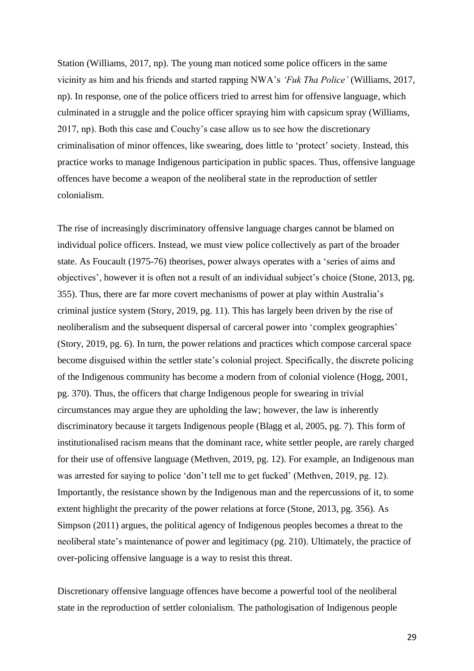Station (Williams, 2017, np). The young man noticed some police officers in the same vicinity as him and his friends and started rapping NWA's *'Fuk Tha Police'* (Williams, 2017, np). In response, one of the police officers tried to arrest him for offensive language, which culminated in a struggle and the police officer spraying him with capsicum spray (Williams, 2017, np). Both this case and Couchy's case allow us to see how the discretionary criminalisation of minor offences, like swearing, does little to 'protect' society. Instead, this practice works to manage Indigenous participation in public spaces. Thus, offensive language offences have become a weapon of the neoliberal state in the reproduction of settler colonialism.

The rise of increasingly discriminatory offensive language charges cannot be blamed on individual police officers. Instead, we must view police collectively as part of the broader state. As Foucault (1975-76) theorises, power always operates with a 'series of aims and objectives', however it is often not a result of an individual subject's choice (Stone, 2013, pg. 355). Thus, there are far more covert mechanisms of power at play within Australia's criminal justice system (Story, 2019, pg. 11). This has largely been driven by the rise of neoliberalism and the subsequent dispersal of carceral power into 'complex geographies' (Story, 2019, pg. 6). In turn, the power relations and practices which compose carceral space become disguised within the settler state's colonial project. Specifically, the discrete policing of the Indigenous community has become a modern from of colonial violence (Hogg, 2001, pg. 370). Thus, the officers that charge Indigenous people for swearing in trivial circumstances may argue they are upholding the law; however, the law is inherently discriminatory because it targets Indigenous people (Blagg et al, 2005, pg. 7). This form of institutionalised racism means that the dominant race, white settler people, are rarely charged for their use of offensive language (Methven, 2019, pg. 12). For example, an Indigenous man was arrested for saying to police 'don't tell me to get fucked' (Methven, 2019, pg. 12). Importantly, the resistance shown by the Indigenous man and the repercussions of it, to some extent highlight the precarity of the power relations at force (Stone, 2013, pg. 356). As Simpson (2011) argues, the political agency of Indigenous peoples becomes a threat to the neoliberal state's maintenance of power and legitimacy (pg. 210). Ultimately, the practice of over-policing offensive language is a way to resist this threat.

Discretionary offensive language offences have become a powerful tool of the neoliberal state in the reproduction of settler colonialism. The pathologisation of Indigenous people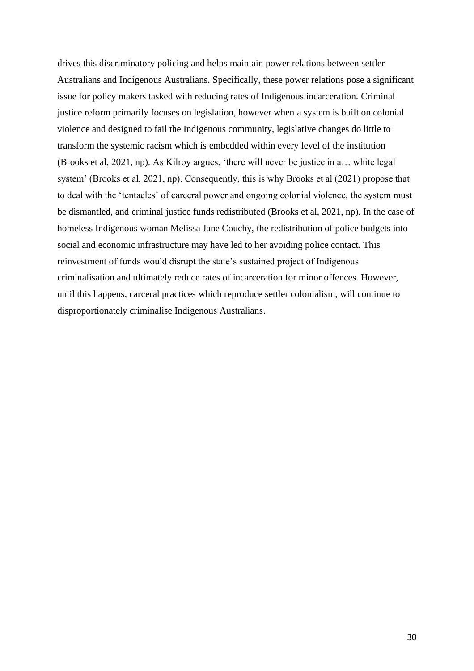drives this discriminatory policing and helps maintain power relations between settler Australians and Indigenous Australians. Specifically, these power relations pose a significant issue for policy makers tasked with reducing rates of Indigenous incarceration. Criminal justice reform primarily focuses on legislation, however when a system is built on colonial violence and designed to fail the Indigenous community, legislative changes do little to transform the systemic racism which is embedded within every level of the institution (Brooks et al, 2021, np). As Kilroy argues, 'there will never be justice in a… white legal system' (Brooks et al, 2021, np). Consequently, this is why Brooks et al (2021) propose that to deal with the 'tentacles' of carceral power and ongoing colonial violence, the system must be dismantled, and criminal justice funds redistributed (Brooks et al, 2021, np). In the case of homeless Indigenous woman Melissa Jane Couchy, the redistribution of police budgets into social and economic infrastructure may have led to her avoiding police contact. This reinvestment of funds would disrupt the state's sustained project of Indigenous criminalisation and ultimately reduce rates of incarceration for minor offences. However, until this happens, carceral practices which reproduce settler colonialism, will continue to disproportionately criminalise Indigenous Australians.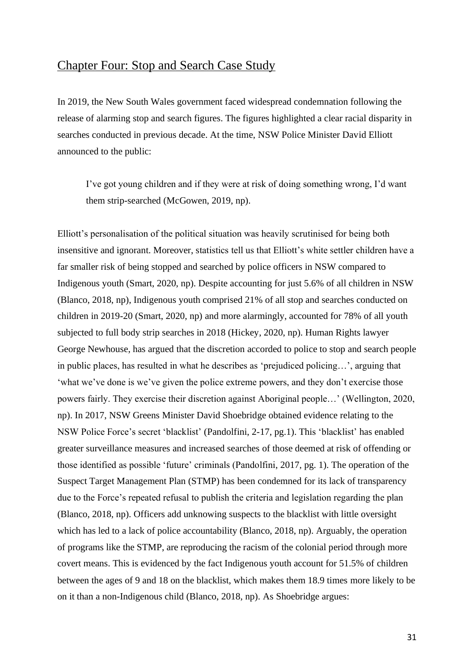### Chapter Four: Stop and Search Case Study

In 2019, the New South Wales government faced widespread condemnation following the release of alarming stop and search figures. The figures highlighted a clear racial disparity in searches conducted in previous decade. At the time, NSW Police Minister David Elliott announced to the public:

I've got young children and if they were at risk of doing something wrong, I'd want them strip-searched (McGowen, 2019, np).

Elliott's personalisation of the political situation was heavily scrutinised for being both insensitive and ignorant. Moreover, statistics tell us that Elliott's white settler children have a far smaller risk of being stopped and searched by police officers in NSW compared to Indigenous youth (Smart, 2020, np). Despite accounting for just 5.6% of all children in NSW (Blanco, 2018, np), Indigenous youth comprised 21% of all stop and searches conducted on children in 2019-20 (Smart, 2020, np) and more alarmingly, accounted for 78% of all youth subjected to full body strip searches in 2018 (Hickey, 2020, np). Human Rights lawyer George Newhouse, has argued that the discretion accorded to police to stop and search people in public places, has resulted in what he describes as 'prejudiced policing…', arguing that 'what we've done is we've given the police extreme powers, and they don't exercise those powers fairly. They exercise their discretion against Aboriginal people…' (Wellington, 2020, np). In 2017, NSW Greens Minister David Shoebridge obtained evidence relating to the NSW Police Force's secret 'blacklist' (Pandolfini, 2-17, pg.1). This 'blacklist' has enabled greater surveillance measures and increased searches of those deemed at risk of offending or those identified as possible 'future' criminals (Pandolfini, 2017, pg. 1). The operation of the Suspect Target Management Plan (STMP) has been condemned for its lack of transparency due to the Force's repeated refusal to publish the criteria and legislation regarding the plan (Blanco, 2018, np). Officers add unknowing suspects to the blacklist with little oversight which has led to a lack of police accountability (Blanco, 2018, np). Arguably, the operation of programs like the STMP, are reproducing the racism of the colonial period through more covert means. This is evidenced by the fact Indigenous youth account for 51.5% of children between the ages of 9 and 18 on the blacklist, which makes them 18.9 times more likely to be on it than a non-Indigenous child (Blanco, 2018, np). As Shoebridge argues: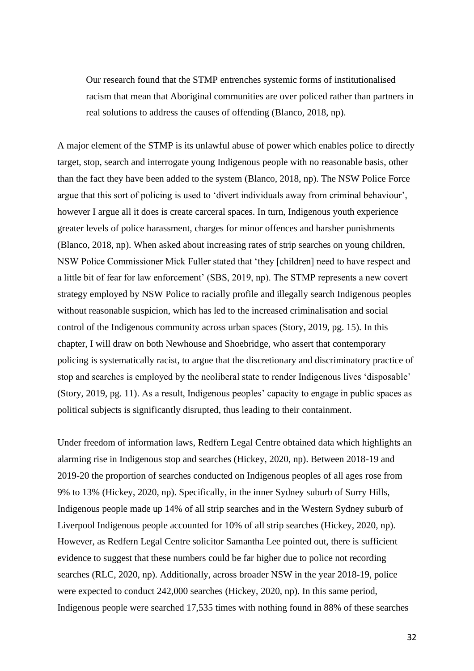Our research found that the STMP entrenches systemic forms of institutionalised racism that mean that Aboriginal communities are over policed rather than partners in real solutions to address the causes of offending (Blanco, 2018, np).

A major element of the STMP is its unlawful abuse of power which enables police to directly target, stop, search and interrogate young Indigenous people with no reasonable basis, other than the fact they have been added to the system (Blanco, 2018, np). The NSW Police Force argue that this sort of policing is used to 'divert individuals away from criminal behaviour', however I argue all it does is create carceral spaces. In turn, Indigenous youth experience greater levels of police harassment, charges for minor offences and harsher punishments (Blanco, 2018, np). When asked about increasing rates of strip searches on young children, NSW Police Commissioner Mick Fuller stated that 'they [children] need to have respect and a little bit of fear for law enforcement' (SBS, 2019, np). The STMP represents a new covert strategy employed by NSW Police to racially profile and illegally search Indigenous peoples without reasonable suspicion, which has led to the increased criminalisation and social control of the Indigenous community across urban spaces (Story, 2019, pg. 15). In this chapter, I will draw on both Newhouse and Shoebridge, who assert that contemporary policing is systematically racist, to argue that the discretionary and discriminatory practice of stop and searches is employed by the neoliberal state to render Indigenous lives 'disposable' (Story, 2019, pg. 11). As a result, Indigenous peoples' capacity to engage in public spaces as political subjects is significantly disrupted, thus leading to their containment.

Under freedom of information laws, Redfern Legal Centre obtained data which highlights an alarming rise in Indigenous stop and searches (Hickey, 2020, np). Between 2018-19 and 2019-20 the proportion of searches conducted on Indigenous peoples of all ages rose from 9% to 13% (Hickey, 2020, np). Specifically, in the inner Sydney suburb of Surry Hills, Indigenous people made up 14% of all strip searches and in the Western Sydney suburb of Liverpool Indigenous people accounted for 10% of all strip searches (Hickey, 2020, np). However, as Redfern Legal Centre solicitor Samantha Lee pointed out, there is sufficient evidence to suggest that these numbers could be far higher due to police not recording searches (RLC, 2020, np). Additionally, across broader NSW in the year 2018-19, police were expected to conduct 242,000 searches (Hickey, 2020, np). In this same period, Indigenous people were searched 17,535 times with nothing found in 88% of these searches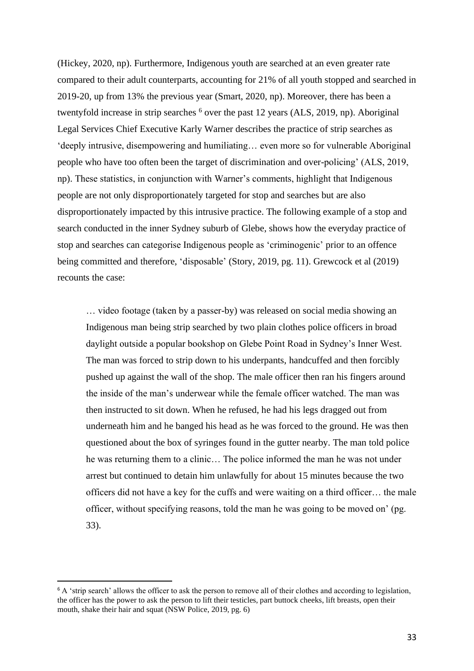(Hickey, 2020, np). Furthermore, Indigenous youth are searched at an even greater rate compared to their adult counterparts, accounting for 21% of all youth stopped and searched in 2019-20, up from 13% the previous year (Smart, 2020, np). Moreover, there has been a twentyfold increase in strip searches <sup>6</sup> over the past 12 years (ALS, 2019, np). Aboriginal Legal Services Chief Executive Karly Warner describes the practice of strip searches as 'deeply intrusive, disempowering and humiliating… even more so for vulnerable Aboriginal people who have too often been the target of discrimination and over-policing' (ALS, 2019, np). These statistics, in conjunction with Warner's comments, highlight that Indigenous people are not only disproportionately targeted for stop and searches but are also disproportionately impacted by this intrusive practice. The following example of a stop and search conducted in the inner Sydney suburb of Glebe, shows how the everyday practice of stop and searches can categorise Indigenous people as 'criminogenic' prior to an offence being committed and therefore, 'disposable' (Story, 2019, pg. 11). Grewcock et al (2019) recounts the case:

… video footage (taken by a passer-by) was released on social media showing an Indigenous man being strip searched by two plain clothes police officers in broad daylight outside a popular bookshop on Glebe Point Road in Sydney's Inner West. The man was forced to strip down to his underpants, handcuffed and then forcibly pushed up against the wall of the shop. The male officer then ran his fingers around the inside of the man's underwear while the female officer watched. The man was then instructed to sit down. When he refused, he had his legs dragged out from underneath him and he banged his head as he was forced to the ground. He was then questioned about the box of syringes found in the gutter nearby. The man told police he was returning them to a clinic… The police informed the man he was not under arrest but continued to detain him unlawfully for about 15 minutes because the two officers did not have a key for the cuffs and were waiting on a third officer… the male officer, without specifying reasons, told the man he was going to be moved on' (pg. 33).

<sup>&</sup>lt;sup>6</sup> A 'strip search' allows the officer to ask the person to remove all of their clothes and according to legislation, the officer has the power to ask the person to lift their testicles, part buttock cheeks, lift breasts, open their mouth, shake their hair and squat (NSW Police, 2019, pg. 6)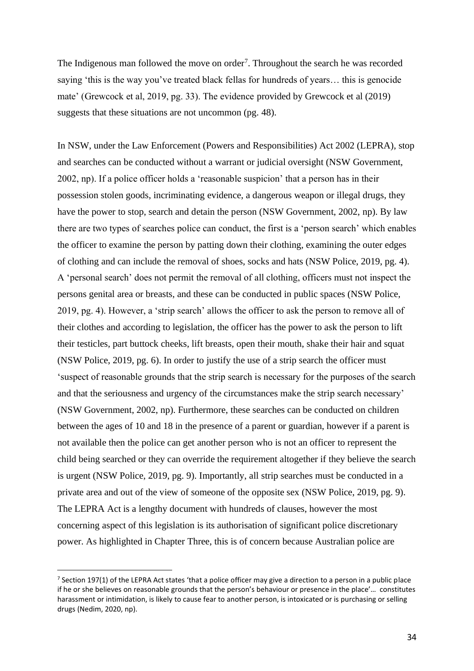The Indigenous man followed the move on order<sup>7</sup>. Throughout the search he was recorded saying 'this is the way you've treated black fellas for hundreds of years… this is genocide mate' (Grewcock et al, 2019, pg. 33). The evidence provided by Grewcock et al (2019) suggests that these situations are not uncommon (pg. 48).

In NSW, under the Law Enforcement (Powers and Responsibilities) Act 2002 (LEPRA), stop and searches can be conducted without a warrant or judicial oversight (NSW Government, 2002, np). If a police officer holds a 'reasonable suspicion' that a person has in their possession stolen goods, incriminating evidence, a dangerous weapon or illegal drugs, they have the power to stop, search and detain the person (NSW Government, 2002, np). By law there are two types of searches police can conduct, the first is a 'person search' which enables the officer to examine the person by patting down their clothing, examining the outer edges of clothing and can include the removal of shoes, socks and hats (NSW Police, 2019, pg. 4). A 'personal search' does not permit the removal of all clothing, officers must not inspect the persons genital area or breasts, and these can be conducted in public spaces (NSW Police, 2019, pg. 4). However, a 'strip search' allows the officer to ask the person to remove all of their clothes and according to legislation, the officer has the power to ask the person to lift their testicles, part buttock cheeks, lift breasts, open their mouth, shake their hair and squat (NSW Police, 2019, pg. 6). In order to justify the use of a strip search the officer must 'suspect of reasonable grounds that the strip search is necessary for the purposes of the search and that the seriousness and urgency of the circumstances make the strip search necessary' (NSW Government, 2002, np). Furthermore, these searches can be conducted on children between the ages of 10 and 18 in the presence of a parent or guardian, however if a parent is not available then the police can get another person who is not an officer to represent the child being searched or they can override the requirement altogether if they believe the search is urgent (NSW Police, 2019, pg. 9). Importantly, all strip searches must be conducted in a private area and out of the view of someone of the opposite sex (NSW Police, 2019, pg. 9). The LEPRA Act is a lengthy document with hundreds of clauses, however the most concerning aspect of this legislation is its authorisation of significant police discretionary power. As highlighted in Chapter Three, this is of concern because Australian police are

<sup>&</sup>lt;sup>7</sup> Section 197(1) of the LEPRA Act states 'that a police officer may give a direction to a person in a public place if he or she believes on reasonable grounds that the person's behaviour or presence in the place'… constitutes harassment or intimidation, is likely to cause fear to another person, is intoxicated or is purchasing or selling drugs (Nedim, 2020, np).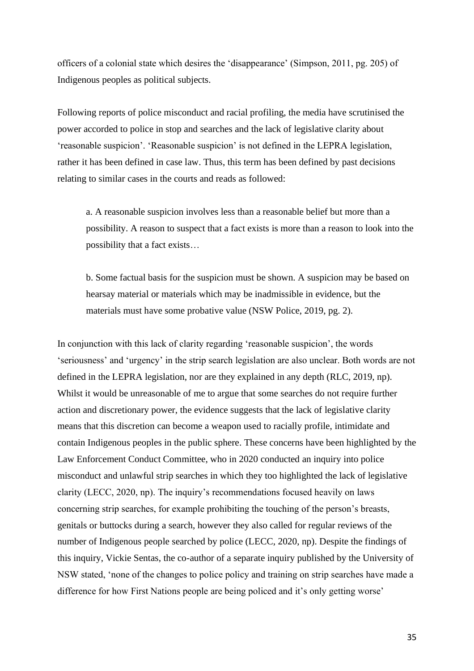officers of a colonial state which desires the 'disappearance' (Simpson, 2011, pg. 205) of Indigenous peoples as political subjects.

Following reports of police misconduct and racial profiling, the media have scrutinised the power accorded to police in stop and searches and the lack of legislative clarity about 'reasonable suspicion'. 'Reasonable suspicion' is not defined in the LEPRA legislation, rather it has been defined in case law. Thus, this term has been defined by past decisions relating to similar cases in the courts and reads as followed:

a. A reasonable suspicion involves less than a reasonable belief but more than a possibility. A reason to suspect that a fact exists is more than a reason to look into the possibility that a fact exists…

b. Some factual basis for the suspicion must be shown. A suspicion may be based on hearsay material or materials which may be inadmissible in evidence, but the materials must have some probative value (NSW Police, 2019, pg. 2).

In conjunction with this lack of clarity regarding 'reasonable suspicion', the words 'seriousness' and 'urgency' in the strip search legislation are also unclear. Both words are not defined in the LEPRA legislation, nor are they explained in any depth (RLC, 2019, np). Whilst it would be unreasonable of me to argue that some searches do not require further action and discretionary power, the evidence suggests that the lack of legislative clarity means that this discretion can become a weapon used to racially profile, intimidate and contain Indigenous peoples in the public sphere. These concerns have been highlighted by the Law Enforcement Conduct Committee, who in 2020 conducted an inquiry into police misconduct and unlawful strip searches in which they too highlighted the lack of legislative clarity (LECC, 2020, np). The inquiry's recommendations focused heavily on laws concerning strip searches, for example prohibiting the touching of the person's breasts, genitals or buttocks during a search, however they also called for regular reviews of the number of Indigenous people searched by police (LECC, 2020, np). Despite the findings of this inquiry, Vickie Sentas, the co-author of a separate inquiry published by the University of NSW stated, 'none of the changes to police policy and training on strip searches have made a difference for how First Nations people are being policed and it's only getting worse'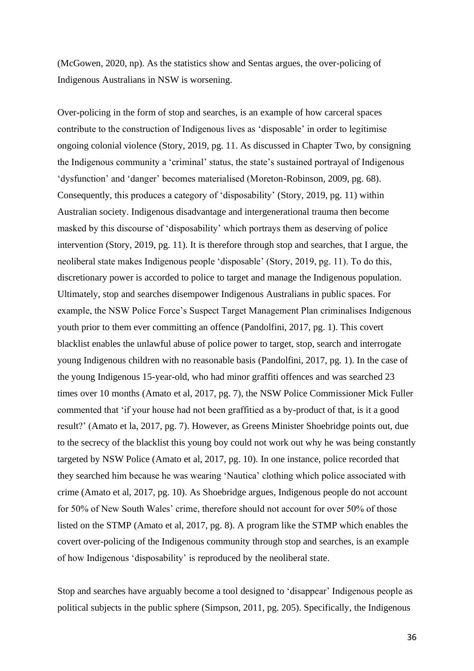(McGowen, 2020, np). As the statistics show and Sentas argues, the over-policing of Indigenous Australians in NSW is worsening.

Over-policing in the form of stop and searches, is an example of how carceral spaces contribute to the construction of Indigenous lives as 'disposable' in order to legitimise ongoing colonial violence (Story, 2019, pg. 11. As discussed in Chapter Two, by consigning the Indigenous community a 'criminal' status, the state's sustained portrayal of Indigenous 'dysfunction' and 'danger' becomes materialised (Moreton-Robinson, 2009, pg. 68). Consequently, this produces a category of 'disposability' (Story, 2019, pg. 11) within Australian society. Indigenous disadvantage and intergenerational trauma then become masked by this discourse of 'disposability' which portrays them as deserving of police intervention (Story, 2019, pg. 11). It is therefore through stop and searches, that I argue, the neoliberal state makes Indigenous people 'disposable' (Story, 2019, pg. 11). To do this, discretionary power is accorded to police to target and manage the Indigenous population. Ultimately, stop and searches disempower Indigenous Australians in public spaces. For example, the NSW Police Force's Suspect Target Management Plan criminalises Indigenous youth prior to them ever committing an offence (Pandolfini, 2017, pg. 1). This covert blacklist enables the unlawful abuse of police power to target, stop, search and interrogate young Indigenous children with no reasonable basis (Pandolfini, 2017, pg. 1). In the case of the young Indigenous 15-year-old, who had minor graffiti offences and was searched 23 times over 10 months (Amato et al, 2017, pg. 7), the NSW Police Commissioner Mick Fuller commented that 'if your house had not been graffitied as a by-product of that, is it a good result?' (Amato et la, 2017, pg. 7). However, as Greens Minister Shoebridge points out, due to the secrecy of the blacklist this young boy could not work out why he was being constantly targeted by NSW Police (Amato et al, 2017, pg. 10). In one instance, police recorded that they searched him because he was wearing 'Nautica' clothing which police associated with crime (Amato et al, 2017, pg. 10). As Shoebridge argues, Indigenous people do not account for 50% of New South Wales' crime, therefore should not account for over 50% of those listed on the STMP (Amato et al, 2017, pg. 8). A program like the STMP which enables the covert over-policing of the Indigenous community through stop and searches, is an example of how Indigenous 'disposability' is reproduced by the neoliberal state.

Stop and searches have arguably become a tool designed to 'disappear' Indigenous people as political subjects in the public sphere (Simpson, 2011, pg. 205). Specifically, the Indigenous

36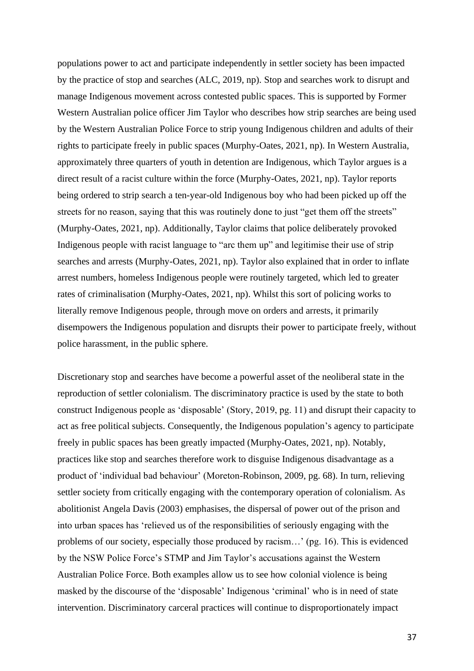populations power to act and participate independently in settler society has been impacted by the practice of stop and searches (ALC, 2019, np). Stop and searches work to disrupt and manage Indigenous movement across contested public spaces. This is supported by Former Western Australian police officer Jim Taylor who describes how strip searches are being used by the Western Australian Police Force to strip young Indigenous children and adults of their rights to participate freely in public spaces (Murphy-Oates, 2021, np). In Western Australia, approximately three quarters of youth in detention are Indigenous, which Taylor argues is a direct result of a racist culture within the force (Murphy-Oates, 2021, np). Taylor reports being ordered to strip search a ten-year-old Indigenous boy who had been picked up off the streets for no reason, saying that this was routinely done to just "get them off the streets" (Murphy-Oates, 2021, np). Additionally, Taylor claims that police deliberately provoked Indigenous people with racist language to "arc them up" and legitimise their use of strip searches and arrests (Murphy-Oates, 2021, np). Taylor also explained that in order to inflate arrest numbers, homeless Indigenous people were routinely targeted, which led to greater rates of criminalisation (Murphy-Oates, 2021, np). Whilst this sort of policing works to literally remove Indigenous people, through move on orders and arrests, it primarily disempowers the Indigenous population and disrupts their power to participate freely, without police harassment, in the public sphere.

Discretionary stop and searches have become a powerful asset of the neoliberal state in the reproduction of settler colonialism. The discriminatory practice is used by the state to both construct Indigenous people as 'disposable' (Story, 2019, pg. 11) and disrupt their capacity to act as free political subjects. Consequently, the Indigenous population's agency to participate freely in public spaces has been greatly impacted (Murphy-Oates, 2021, np). Notably, practices like stop and searches therefore work to disguise Indigenous disadvantage as a product of 'individual bad behaviour' (Moreton-Robinson, 2009, pg. 68). In turn, relieving settler society from critically engaging with the contemporary operation of colonialism. As abolitionist Angela Davis (2003) emphasises, the dispersal of power out of the prison and into urban spaces has 'relieved us of the responsibilities of seriously engaging with the problems of our society, especially those produced by racism…' (pg. 16). This is evidenced by the NSW Police Force's STMP and Jim Taylor's accusations against the Western Australian Police Force. Both examples allow us to see how colonial violence is being masked by the discourse of the 'disposable' Indigenous 'criminal' who is in need of state intervention. Discriminatory carceral practices will continue to disproportionately impact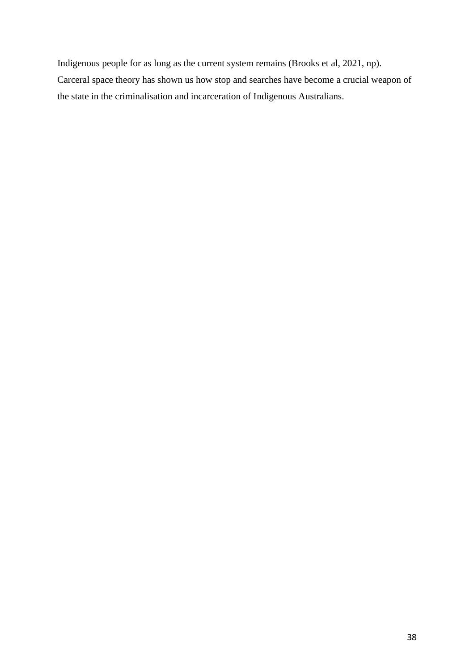Indigenous people for as long as the current system remains (Brooks et al, 2021, np). Carceral space theory has shown us how stop and searches have become a crucial weapon of the state in the criminalisation and incarceration of Indigenous Australians.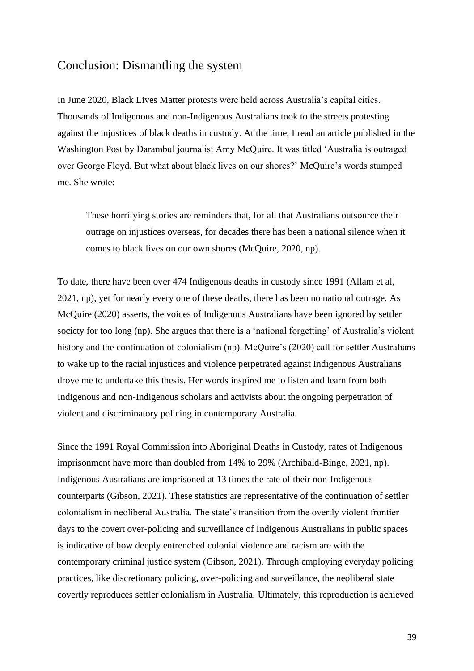### Conclusion: Dismantling the system

In June 2020, Black Lives Matter protests were held across Australia's capital cities. Thousands of Indigenous and non-Indigenous Australians took to the streets protesting against the injustices of black deaths in custody. At the time, I read an article published in the Washington Post by Darambul journalist Amy McQuire. It was titled 'Australia is outraged over George Floyd. But what about black lives on our shores?' McQuire's words stumped me. She wrote:

These horrifying stories are reminders that, for all that Australians outsource their outrage on injustices overseas, for decades there has been a national silence when it comes to black lives on our own shores (McQuire, 2020, np).

To date, there have been over 474 Indigenous deaths in custody since 1991 (Allam et al, 2021, np), yet for nearly every one of these deaths, there has been no national outrage. As McQuire (2020) asserts, the voices of Indigenous Australians have been ignored by settler society for too long (np). She argues that there is a 'national forgetting' of Australia's violent history and the continuation of colonialism (np). McQuire's (2020) call for settler Australians to wake up to the racial injustices and violence perpetrated against Indigenous Australians drove me to undertake this thesis. Her words inspired me to listen and learn from both Indigenous and non-Indigenous scholars and activists about the ongoing perpetration of violent and discriminatory policing in contemporary Australia.

Since the 1991 Royal Commission into Aboriginal Deaths in Custody, rates of Indigenous imprisonment have more than doubled from 14% to 29% (Archibald-Binge, 2021, np). Indigenous Australians are imprisoned at 13 times the rate of their non-Indigenous counterparts (Gibson, 2021). These statistics are representative of the continuation of settler colonialism in neoliberal Australia. The state's transition from the overtly violent frontier days to the covert over-policing and surveillance of Indigenous Australians in public spaces is indicative of how deeply entrenched colonial violence and racism are with the contemporary criminal justice system (Gibson, 2021). Through employing everyday policing practices, like discretionary policing, over-policing and surveillance, the neoliberal state covertly reproduces settler colonialism in Australia. Ultimately, this reproduction is achieved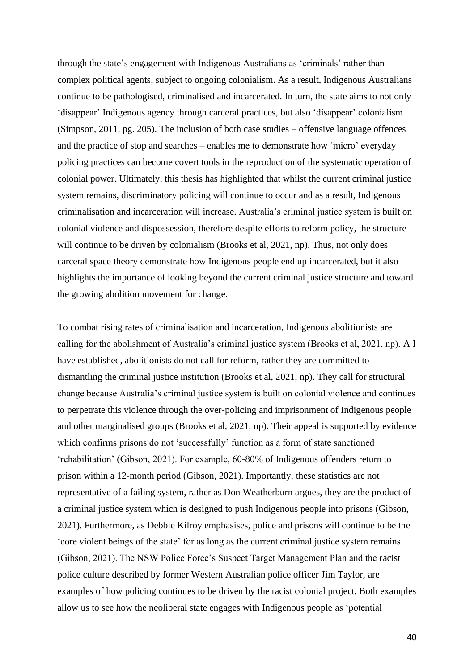through the state's engagement with Indigenous Australians as 'criminals' rather than complex political agents, subject to ongoing colonialism. As a result, Indigenous Australians continue to be pathologised, criminalised and incarcerated. In turn, the state aims to not only 'disappear' Indigenous agency through carceral practices, but also 'disappear' colonialism (Simpson, 2011, pg. 205). The inclusion of both case studies – offensive language offences and the practice of stop and searches – enables me to demonstrate how 'micro' everyday policing practices can become covert tools in the reproduction of the systematic operation of colonial power. Ultimately, this thesis has highlighted that whilst the current criminal justice system remains, discriminatory policing will continue to occur and as a result, Indigenous criminalisation and incarceration will increase. Australia's criminal justice system is built on colonial violence and dispossession, therefore despite efforts to reform policy, the structure will continue to be driven by colonialism (Brooks et al, 2021, np). Thus, not only does carceral space theory demonstrate how Indigenous people end up incarcerated, but it also highlights the importance of looking beyond the current criminal justice structure and toward the growing abolition movement for change.

To combat rising rates of criminalisation and incarceration, Indigenous abolitionists are calling for the abolishment of Australia's criminal justice system (Brooks et al, 2021, np). A I have established, abolitionists do not call for reform, rather they are committed to dismantling the criminal justice institution (Brooks et al, 2021, np). They call for structural change because Australia's criminal justice system is built on colonial violence and continues to perpetrate this violence through the over-policing and imprisonment of Indigenous people and other marginalised groups (Brooks et al, 2021, np). Their appeal is supported by evidence which confirms prisons do not 'successfully' function as a form of state sanctioned 'rehabilitation' (Gibson, 2021). For example, 60-80% of Indigenous offenders return to prison within a 12-month period (Gibson, 2021). Importantly, these statistics are not representative of a failing system, rather as Don Weatherburn argues, they are the product of a criminal justice system which is designed to push Indigenous people into prisons (Gibson, 2021). Furthermore, as Debbie Kilroy emphasises, police and prisons will continue to be the 'core violent beings of the state' for as long as the current criminal justice system remains (Gibson, 2021). The NSW Police Force's Suspect Target Management Plan and the racist police culture described by former Western Australian police officer Jim Taylor, are examples of how policing continues to be driven by the racist colonial project. Both examples allow us to see how the neoliberal state engages with Indigenous people as 'potential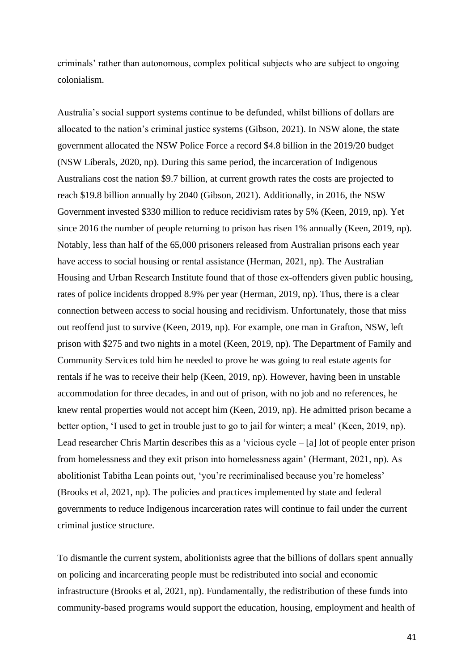criminals' rather than autonomous, complex political subjects who are subject to ongoing colonialism.

Australia's social support systems continue to be defunded, whilst billions of dollars are allocated to the nation's criminal justice systems (Gibson, 2021). In NSW alone, the state government allocated the NSW Police Force a record \$4.8 billion in the 2019/20 budget (NSW Liberals, 2020, np). During this same period, the incarceration of Indigenous Australians cost the nation \$9.7 billion, at current growth rates the costs are projected to reach \$19.8 billion annually by 2040 (Gibson, 2021). Additionally, in 2016, the NSW Government invested \$330 million to reduce recidivism rates by 5% (Keen, 2019, np). Yet since 2016 the number of people returning to prison has risen 1% annually (Keen, 2019, np). Notably, less than half of the 65,000 prisoners released from Australian prisons each year have access to social housing or rental assistance (Herman, 2021, np). The Australian Housing and Urban Research Institute found that of those ex-offenders given public housing, rates of police incidents dropped 8.9% per year (Herman, 2019, np). Thus, there is a clear connection between access to social housing and recidivism. Unfortunately, those that miss out reoffend just to survive (Keen, 2019, np). For example, one man in Grafton, NSW, left prison with \$275 and two nights in a motel (Keen, 2019, np). The Department of Family and Community Services told him he needed to prove he was going to real estate agents for rentals if he was to receive their help (Keen, 2019, np). However, having been in unstable accommodation for three decades, in and out of prison, with no job and no references, he knew rental properties would not accept him (Keen, 2019, np). He admitted prison became a better option, 'I used to get in trouble just to go to jail for winter; a meal' (Keen, 2019, np). Lead researcher Chris Martin describes this as a 'vicious cycle – [a] lot of people enter prison from homelessness and they exit prison into homelessness again' (Hermant, 2021, np). As abolitionist Tabitha Lean points out, 'you're recriminalised because you're homeless' (Brooks et al, 2021, np). The policies and practices implemented by state and federal governments to reduce Indigenous incarceration rates will continue to fail under the current criminal justice structure.

To dismantle the current system, abolitionists agree that the billions of dollars spent annually on policing and incarcerating people must be redistributed into social and economic infrastructure (Brooks et al, 2021, np). Fundamentally, the redistribution of these funds into community-based programs would support the education, housing, employment and health of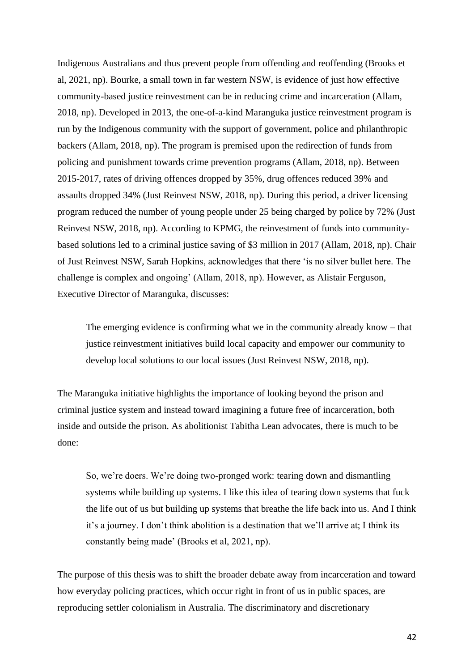Indigenous Australians and thus prevent people from offending and reoffending (Brooks et al, 2021, np). Bourke, a small town in far western NSW, is evidence of just how effective community-based justice reinvestment can be in reducing crime and incarceration (Allam, 2018, np). Developed in 2013, the one-of-a-kind Maranguka justice reinvestment program is run by the Indigenous community with the support of government, police and philanthropic backers (Allam, 2018, np). The program is premised upon the redirection of funds from policing and punishment towards crime prevention programs (Allam, 2018, np). Between 2015-2017, rates of driving offences dropped by 35%, drug offences reduced 39% and assaults dropped 34% (Just Reinvest NSW, 2018, np). During this period, a driver licensing program reduced the number of young people under 25 being charged by police by 72% (Just Reinvest NSW, 2018, np). According to KPMG, the reinvestment of funds into communitybased solutions led to a criminal justice saving of \$3 million in 2017 (Allam, 2018, np). Chair of Just Reinvest NSW, Sarah Hopkins, acknowledges that there 'is no silver bullet here. The challenge is complex and ongoing' (Allam, 2018, np). However, as Alistair Ferguson, Executive Director of Maranguka, discusses:

The emerging evidence is confirming what we in the community already know – that justice reinvestment initiatives build local capacity and empower our community to develop local solutions to our local issues (Just Reinvest NSW, 2018, np).

The Maranguka initiative highlights the importance of looking beyond the prison and criminal justice system and instead toward imagining a future free of incarceration, both inside and outside the prison. As abolitionist Tabitha Lean advocates, there is much to be done:

So, we're doers. We're doing two-pronged work: tearing down and dismantling systems while building up systems. I like this idea of tearing down systems that fuck the life out of us but building up systems that breathe the life back into us. And I think it's a journey. I don't think abolition is a destination that we'll arrive at; I think its constantly being made' (Brooks et al, 2021, np).

The purpose of this thesis was to shift the broader debate away from incarceration and toward how everyday policing practices, which occur right in front of us in public spaces, are reproducing settler colonialism in Australia. The discriminatory and discretionary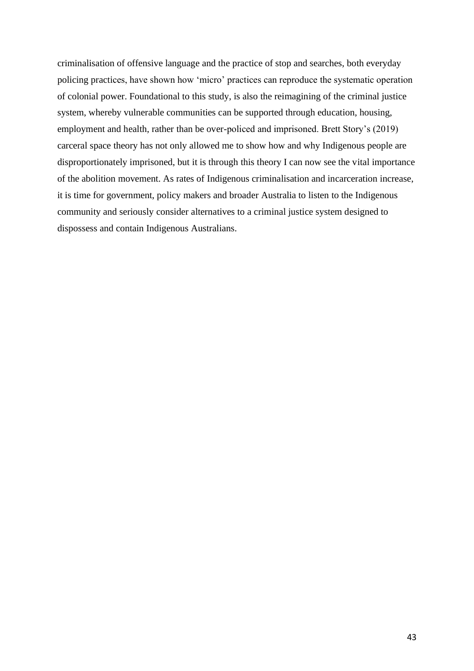criminalisation of offensive language and the practice of stop and searches, both everyday policing practices, have shown how 'micro' practices can reproduce the systematic operation of colonial power. Foundational to this study, is also the reimagining of the criminal justice system, whereby vulnerable communities can be supported through education, housing, employment and health, rather than be over-policed and imprisoned. Brett Story's (2019) carceral space theory has not only allowed me to show how and why Indigenous people are disproportionately imprisoned, but it is through this theory I can now see the vital importance of the abolition movement. As rates of Indigenous criminalisation and incarceration increase, it is time for government, policy makers and broader Australia to listen to the Indigenous community and seriously consider alternatives to a criminal justice system designed to dispossess and contain Indigenous Australians.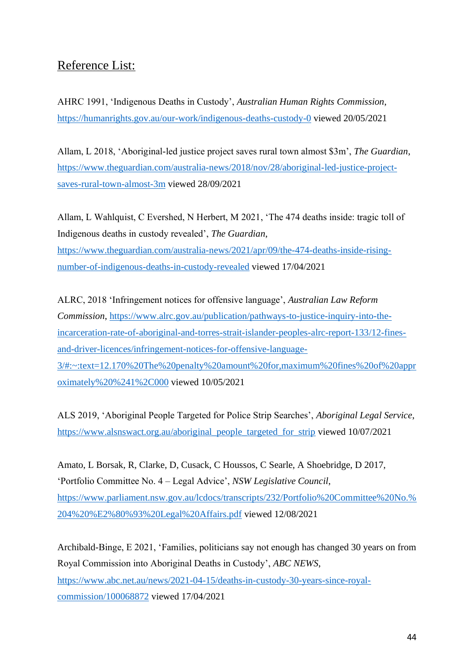# Reference List:

AHRC 1991, 'Indigenous Deaths in Custody', *Australian Human Rights Commission*, <https://humanrights.gov.au/our-work/indigenous-deaths-custody-0> viewed 20/05/2021

Allam, L 2018, 'Aboriginal-led justice project saves rural town almost \$3m', *The Guardian*, [https://www.theguardian.com/australia-news/2018/nov/28/aboriginal-led-justice-project](https://www.theguardian.com/australia-news/2018/nov/28/aboriginal-led-justice-project-saves-rural-town-almost-3m)[saves-rural-town-almost-3m](https://www.theguardian.com/australia-news/2018/nov/28/aboriginal-led-justice-project-saves-rural-town-almost-3m) viewed 28/09/2021

Allam, L Wahlquist, C Evershed, N Herbert, M 2021, 'The 474 deaths inside: tragic toll of Indigenous deaths in custody revealed', *The Guardian*, [https://www.theguardian.com/australia-news/2021/apr/09/the-474-deaths-inside-rising](https://www.theguardian.com/australia-news/2021/apr/09/the-474-deaths-inside-rising-number-of-indigenous-deaths-in-custody-revealed)[number-of-indigenous-deaths-in-custody-revealed](https://www.theguardian.com/australia-news/2021/apr/09/the-474-deaths-inside-rising-number-of-indigenous-deaths-in-custody-revealed) viewed 17/04/2021

ALRC, 2018 'Infringement notices for offensive language', *Australian Law Reform Commission*, [https://www.alrc.gov.au/publication/pathways-to-justice-inquiry-into-the](https://www.alrc.gov.au/publication/pathways-to-justice-inquiry-into-the-incarceration-rate-of-aboriginal-and-torres-strait-islander-peoples-alrc-report-133/12-fines-and-driver-licences/infringement-notices-for-offensive-language-3/#:~:text=12.170%20The%20penalty%20amount%20for,maximum%20fines%20of%20approximately%20%241%2C000)[incarceration-rate-of-aboriginal-and-torres-strait-islander-peoples-alrc-report-133/12-fines](https://www.alrc.gov.au/publication/pathways-to-justice-inquiry-into-the-incarceration-rate-of-aboriginal-and-torres-strait-islander-peoples-alrc-report-133/12-fines-and-driver-licences/infringement-notices-for-offensive-language-3/#:~:text=12.170%20The%20penalty%20amount%20for,maximum%20fines%20of%20approximately%20%241%2C000)[and-driver-licences/infringement-notices-for-offensive-language-](https://www.alrc.gov.au/publication/pathways-to-justice-inquiry-into-the-incarceration-rate-of-aboriginal-and-torres-strait-islander-peoples-alrc-report-133/12-fines-and-driver-licences/infringement-notices-for-offensive-language-3/#:~:text=12.170%20The%20penalty%20amount%20for,maximum%20fines%20of%20approximately%20%241%2C000)[3/#:~:text=12.170%20The%20penalty%20amount%20for,maximum%20fines%20of%20appr](https://www.alrc.gov.au/publication/pathways-to-justice-inquiry-into-the-incarceration-rate-of-aboriginal-and-torres-strait-islander-peoples-alrc-report-133/12-fines-and-driver-licences/infringement-notices-for-offensive-language-3/#:~:text=12.170%20The%20penalty%20amount%20for,maximum%20fines%20of%20approximately%20%241%2C000) [oximately%20%241%2C000](https://www.alrc.gov.au/publication/pathways-to-justice-inquiry-into-the-incarceration-rate-of-aboriginal-and-torres-strait-islander-peoples-alrc-report-133/12-fines-and-driver-licences/infringement-notices-for-offensive-language-3/#:~:text=12.170%20The%20penalty%20amount%20for,maximum%20fines%20of%20approximately%20%241%2C000) viewed 10/05/2021

ALS 2019, 'Aboriginal People Targeted for Police Strip Searches', *Aboriginal Legal Service*, [https://www.alsnswact.org.au/aboriginal\\_people\\_targeted\\_for\\_strip](https://www.alsnswact.org.au/aboriginal_people_targeted_for_strip) viewed 10/07/2021

Amato, L Borsak, R, Clarke, D, Cusack, C Houssos, C Searle, A Shoebridge, D 2017, 'Portfolio Committee No. 4 – Legal Advice', *NSW Legislative Council*, [https://www.parliament.nsw.gov.au/lcdocs/transcripts/232/Portfolio%20Committee%20No.%](https://www.parliament.nsw.gov.au/lcdocs/transcripts/232/Portfolio%20Committee%20No.%204%20%E2%80%93%20Legal%20Affairs.pdf) [204%20%E2%80%93%20Legal%20Affairs.pdf](https://www.parliament.nsw.gov.au/lcdocs/transcripts/232/Portfolio%20Committee%20No.%204%20%E2%80%93%20Legal%20Affairs.pdf) viewed 12/08/2021

Archibald-Binge, E 2021, 'Families, politicians say not enough has changed 30 years on from Royal Commission into Aboriginal Deaths in Custody', *ABC NEWS*, [https://www.abc.net.au/news/2021-04-15/deaths-in-custody-30-years-since-royal](https://www.abc.net.au/news/2021-04-15/deaths-in-custody-30-years-since-royal-commission/100068872)[commission/100068872](https://www.abc.net.au/news/2021-04-15/deaths-in-custody-30-years-since-royal-commission/100068872) viewed 17/04/2021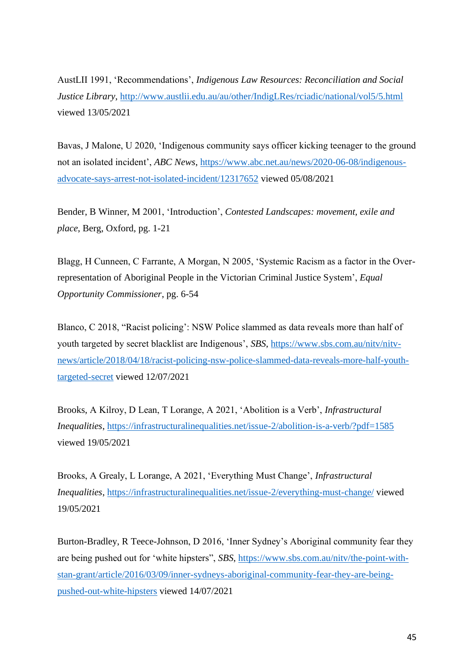AustLII 1991, 'Recommendations', *Indigenous Law Resources: Reconciliation and Social Justice Library*,<http://www.austlii.edu.au/au/other/IndigLRes/rciadic/national/vol5/5.html> viewed 13/05/2021

Bavas, J Malone, U 2020, 'Indigenous community says officer kicking teenager to the ground not an isolated incident', *ABC News*, [https://www.abc.net.au/news/2020-06-08/indigenous](https://www.abc.net.au/news/2020-06-08/indigenous-advocate-says-arrest-not-isolated-incident/12317652)[advocate-says-arrest-not-isolated-incident/12317652](https://www.abc.net.au/news/2020-06-08/indigenous-advocate-says-arrest-not-isolated-incident/12317652) viewed 05/08/2021

Bender, B Winner, M 2001, 'Introduction', *Contested Landscapes: movement, exile and place*, Berg, Oxford, pg. 1-21

Blagg, H Cunneen, C Farrante, A Morgan, N 2005, 'Systemic Racism as a factor in the Overrepresentation of Aboriginal People in the Victorian Criminal Justice System', *Equal Opportunity Commissioner*, pg. 6-54

Blanco, C 2018, "Racist policing': NSW Police slammed as data reveals more than half of youth targeted by secret blacklist are Indigenous', *SBS*, [https://www.sbs.com.au/nitv/nitv](https://www.sbs.com.au/nitv/nitv-news/article/2018/04/18/racist-policing-nsw-police-slammed-data-reveals-more-half-youth-targeted-secret)[news/article/2018/04/18/racist-policing-nsw-police-slammed-data-reveals-more-half-youth](https://www.sbs.com.au/nitv/nitv-news/article/2018/04/18/racist-policing-nsw-police-slammed-data-reveals-more-half-youth-targeted-secret)[targeted-secret](https://www.sbs.com.au/nitv/nitv-news/article/2018/04/18/racist-policing-nsw-police-slammed-data-reveals-more-half-youth-targeted-secret) viewed 12/07/2021

Brooks, A Kilroy, D Lean, T Lorange, A 2021, 'Abolition is a Verb', *Infrastructural Inequalities*,<https://infrastructuralinequalities.net/issue-2/abolition-is-a-verb/?pdf=1585> viewed 19/05/2021

Brooks, A Grealy, L Lorange, A 2021, 'Everything Must Change', *Infrastructural Inequalities*,<https://infrastructuralinequalities.net/issue-2/everything-must-change/> viewed 19/05/2021

Burton-Bradley, R Teece-Johnson, D 2016, 'Inner Sydney's Aboriginal community fear they are being pushed out for 'white hipsters", *SBS*, [https://www.sbs.com.au/nitv/the-point-with](https://www.sbs.com.au/nitv/the-point-with-stan-grant/article/2016/03/09/inner-sydneys-aboriginal-community-fear-they-are-being-pushed-out-white-hipsters)[stan-grant/article/2016/03/09/inner-sydneys-aboriginal-community-fear-they-are-being](https://www.sbs.com.au/nitv/the-point-with-stan-grant/article/2016/03/09/inner-sydneys-aboriginal-community-fear-they-are-being-pushed-out-white-hipsters)[pushed-out-white-hipsters](https://www.sbs.com.au/nitv/the-point-with-stan-grant/article/2016/03/09/inner-sydneys-aboriginal-community-fear-they-are-being-pushed-out-white-hipsters) viewed 14/07/2021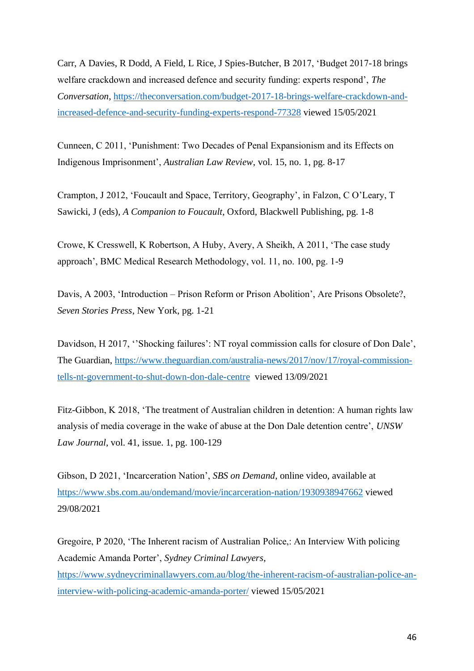Carr, A Davies, R Dodd, A Field, L Rice, J Spies-Butcher, B 2017, 'Budget 2017-18 brings welfare crackdown and increased defence and security funding: experts respond', *The Conversation*, [https://theconversation.com/budget-2017-18-brings-welfare-crackdown-and](https://theconversation.com/budget-2017-18-brings-welfare-crackdown-and-increased-defence-and-security-funding-experts-respond-77328)[increased-defence-and-security-funding-experts-respond-77328](https://theconversation.com/budget-2017-18-brings-welfare-crackdown-and-increased-defence-and-security-funding-experts-respond-77328) viewed 15/05/2021

Cunneen, C 2011, 'Punishment: Two Decades of Penal Expansionism and its Effects on Indigenous Imprisonment', *Australian Law Review*, vol. 15, no. 1, pg. 8-17

Crampton, J 2012, 'Foucault and Space, Territory, Geography', in Falzon, C O'Leary, T Sawicki, J (eds), *A Companion to Foucault*, Oxford, Blackwell Publishing, pg. 1-8

Crowe, K Cresswell, K Robertson, A Huby, Avery, A Sheikh, A 2011, 'The case study approach', BMC Medical Research Methodology, vol. 11, no. 100, pg. 1-9

Davis, A 2003, 'Introduction – Prison Reform or Prison Abolition', Are Prisons Obsolete?, *Seven Stories Press*, New York, pg. 1-21

Davidson, H 2017, ''Shocking failures': NT royal commission calls for closure of Don Dale', The Guardian, [https://www.theguardian.com/australia-news/2017/nov/17/royal-commission](https://www.theguardian.com/australia-news/2017/nov/17/royal-commission-tells-nt-government-to-shut-down-don-dale-centre)[tells-nt-government-to-shut-down-don-dale-centre](https://www.theguardian.com/australia-news/2017/nov/17/royal-commission-tells-nt-government-to-shut-down-don-dale-centre) viewed 13/09/2021

Fitz-Gibbon, K 2018, 'The treatment of Australian children in detention: A human rights law analysis of media coverage in the wake of abuse at the Don Dale detention centre', *UNSW Law Journal*, vol. 41, issue. 1, pg. 100-129

Gibson, D 2021, 'Incarceration Nation', *SBS on Demand*, online video, available at <https://www.sbs.com.au/ondemand/movie/incarceration-nation/1930938947662> viewed 29/08/2021

Gregoire, P 2020, 'The Inherent racism of Australian Police,: An Interview With policing Academic Amanda Porter', *Sydney Criminal Lawyers*, [https://www.sydneycriminallawyers.com.au/blog/the-inherent-racism-of-australian-police-an](https://www.sydneycriminallawyers.com.au/blog/the-inherent-racism-of-australian-police-an-interview-with-policing-academic-amanda-porter/)[interview-with-policing-academic-amanda-porter/](https://www.sydneycriminallawyers.com.au/blog/the-inherent-racism-of-australian-police-an-interview-with-policing-academic-amanda-porter/) viewed 15/05/2021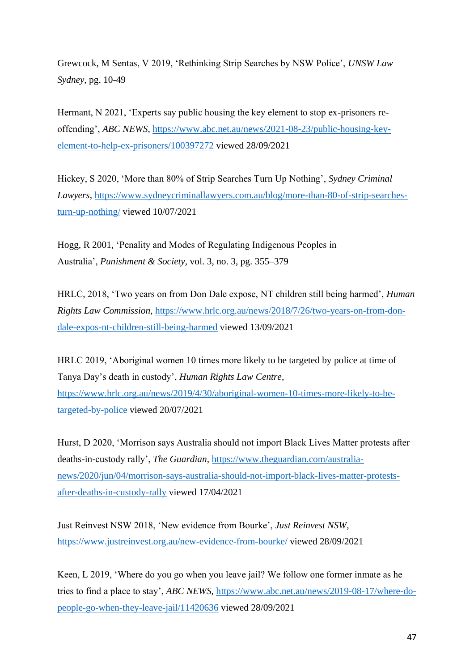Grewcock, M Sentas, V 2019, 'Rethinking Strip Searches by NSW Police', *UNSW Law Sydney*, pg. 10-49

Hermant, N 2021, 'Experts say public housing the key element to stop ex-prisoners reoffending', *ABC NEWS*, [https://www.abc.net.au/news/2021-08-23/public-housing-key](https://www.abc.net.au/news/2021-08-23/public-housing-key-element-to-help-ex-prisoners/100397272)[element-to-help-ex-prisoners/100397272](https://www.abc.net.au/news/2021-08-23/public-housing-key-element-to-help-ex-prisoners/100397272) viewed 28/09/2021

Hickey, S 2020, 'More than 80% of Strip Searches Turn Up Nothing', *Sydney Criminal Lawyers*, [https://www.sydneycriminallawyers.com.au/blog/more-than-80-of-strip-searches](https://www.sydneycriminallawyers.com.au/blog/more-than-80-of-strip-searches-turn-up-nothing/)[turn-up-nothing/](https://www.sydneycriminallawyers.com.au/blog/more-than-80-of-strip-searches-turn-up-nothing/) viewed 10/07/2021

Hogg, R 2001, 'Penality and Modes of Regulating Indigenous Peoples in Australia', *Punishment & Society*, vol. 3, no. 3, pg. 355–379

HRLC, 2018, 'Two years on from Don Dale expose, NT children still being harmed', *Human Rights Law Commission*, [https://www.hrlc.org.au/news/2018/7/26/two-years-on-from-don](https://www.hrlc.org.au/news/2018/7/26/two-years-on-from-don-dale-expos-nt-children-still-being-harmed)[dale-expos-nt-children-still-being-harmed](https://www.hrlc.org.au/news/2018/7/26/two-years-on-from-don-dale-expos-nt-children-still-being-harmed) viewed 13/09/2021

HRLC 2019, 'Aboriginal women 10 times more likely to be targeted by police at time of Tanya Day's death in custody', *Human Rights Law Centre*, [https://www.hrlc.org.au/news/2019/4/30/aboriginal-women-10-times-more-likely-to-be](https://www.hrlc.org.au/news/2019/4/30/aboriginal-women-10-times-more-likely-to-be-targeted-by-police)[targeted-by-police](https://www.hrlc.org.au/news/2019/4/30/aboriginal-women-10-times-more-likely-to-be-targeted-by-police) viewed 20/07/2021

Hurst, D 2020, 'Morrison says Australia should not import Black Lives Matter protests after deaths-in-custody rally', *The Guardian*, [https://www.theguardian.com/australia](https://www.theguardian.com/australia-news/2020/jun/04/morrison-says-australia-should-not-import-black-lives-matter-protests-after-deaths-in-custody-rally)[news/2020/jun/04/morrison-says-australia-should-not-import-black-lives-matter-protests](https://www.theguardian.com/australia-news/2020/jun/04/morrison-says-australia-should-not-import-black-lives-matter-protests-after-deaths-in-custody-rally)[after-deaths-in-custody-rally](https://www.theguardian.com/australia-news/2020/jun/04/morrison-says-australia-should-not-import-black-lives-matter-protests-after-deaths-in-custody-rally) viewed 17/04/2021

Just Reinvest NSW 2018, 'New evidence from Bourke', *Just Reinvest NSW*, <https://www.justreinvest.org.au/new-evidence-from-bourke/> viewed 28/09/2021

Keen, L 2019, 'Where do you go when you leave jail? We follow one former inmate as he tries to find a place to stay', *ABC NEWS*, [https://www.abc.net.au/news/2019-08-17/where-do](https://www.abc.net.au/news/2019-08-17/where-do-people-go-when-they-leave-jail/11420636)[people-go-when-they-leave-jail/11420636](https://www.abc.net.au/news/2019-08-17/where-do-people-go-when-they-leave-jail/11420636) viewed 28/09/2021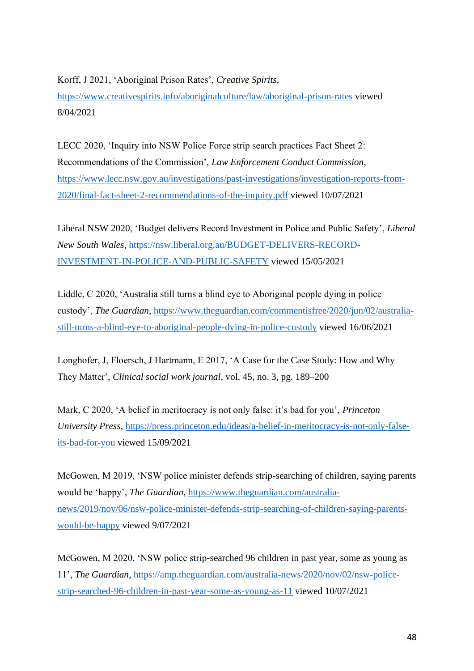Korff, J 2021, 'Aboriginal Prison Rates', *Creative Spirits*,

[https://www.creativespirits.info/aboriginalculture/law/aboriginal-prison-rates](about:blank) viewed 8/04/2021

LECC 2020, 'Inquiry into NSW Police Force strip search practices Fact Sheet 2: Recommendations of the Commission', *Law Enforcement Conduct Commission*, [https://www.lecc.nsw.gov.au/investigations/past-investigations/investigation-reports-from-](https://www.lecc.nsw.gov.au/investigations/past-investigations/investigation-reports-from-2020/final-fact-sheet-2-recommendations-of-the-inquiry.pdf)[2020/final-fact-sheet-2-recommendations-of-the-inquiry.pdf](https://www.lecc.nsw.gov.au/investigations/past-investigations/investigation-reports-from-2020/final-fact-sheet-2-recommendations-of-the-inquiry.pdf) viewed 10/07/2021

Liberal NSW 2020, 'Budget delivers Record Investment in Police and Public Safety', *Liberal New South Wales*, [https://nsw.liberal.org.au/BUDGET-DELIVERS-RECORD-](https://nsw.liberal.org.au/BUDGET-DELIVERS-RECORD-INVESTMENT-IN-POLICE-AND-PUBLIC-SAFETY)[INVESTMENT-IN-POLICE-AND-PUBLIC-SAFETY](https://nsw.liberal.org.au/BUDGET-DELIVERS-RECORD-INVESTMENT-IN-POLICE-AND-PUBLIC-SAFETY) viewed 15/05/2021

Liddle, C 2020, 'Australia still turns a blind eye to Aboriginal people dying in police custody', *The Guardian*, [https://www.theguardian.com/commentisfree/2020/jun/02/australia](https://www.theguardian.com/commentisfree/2020/jun/02/australia-still-turns-a-blind-eye-to-aboriginal-people-dying-in-police-custody)[still-turns-a-blind-eye-to-aboriginal-people-dying-in-police-custody](https://www.theguardian.com/commentisfree/2020/jun/02/australia-still-turns-a-blind-eye-to-aboriginal-people-dying-in-police-custody) viewed 16/06/2021

Longhofer, J, Floersch, J Hartmann, E 2017, 'A Case for the Case Study: How and Why They Matter', *Clinical social work journal*, vol. 45, no. 3, pg. 189–200

Mark, C 2020, 'A belief in meritocracy is not only false: it's bad for you', *Princeton University Press*, [https://press.princeton.edu/ideas/a-belief-in-meritocracy-is-not-only-false](https://press.princeton.edu/ideas/a-belief-in-meritocracy-is-not-only-false-its-bad-for-you)[its-bad-for-you](https://press.princeton.edu/ideas/a-belief-in-meritocracy-is-not-only-false-its-bad-for-you) viewed 15/09/2021

McGowen, M 2019, 'NSW police minister defends strip-searching of children, saying parents would be 'happy', *The Guardian*, [https://www.theguardian.com/australia](https://www.theguardian.com/australia-news/2019/nov/06/nsw-police-minister-defends-strip-searching-of-children-saying-parents-would-be-happy)[news/2019/nov/06/nsw-police-minister-defends-strip-searching-of-children-saying-parents](https://www.theguardian.com/australia-news/2019/nov/06/nsw-police-minister-defends-strip-searching-of-children-saying-parents-would-be-happy)[would-be-happy](https://www.theguardian.com/australia-news/2019/nov/06/nsw-police-minister-defends-strip-searching-of-children-saying-parents-would-be-happy) viewed 9/07/2021

McGowen, M 2020, 'NSW police strip-searched 96 children in past year, some as young as 11', *The Guardian*, [https://amp.theguardian.com/australia-news/2020/nov/02/nsw-police](https://amp.theguardian.com/australia-news/2020/nov/02/nsw-police-strip-searched-96-children-in-past-year-some-as-young-as-11)[strip-searched-96-children-in-past-year-some-as-young-as-11](https://amp.theguardian.com/australia-news/2020/nov/02/nsw-police-strip-searched-96-children-in-past-year-some-as-young-as-11) viewed 10/07/2021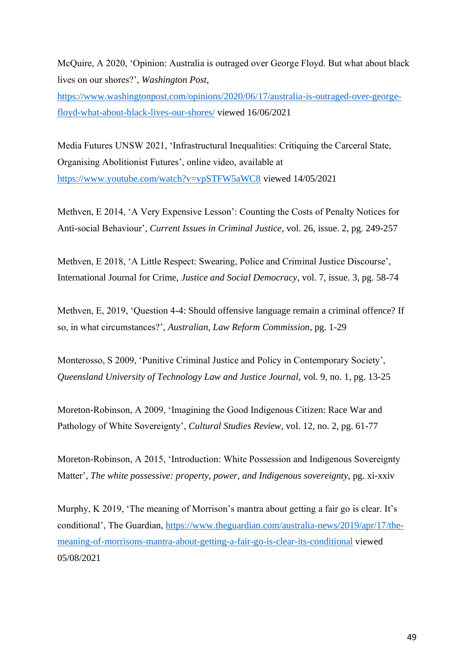McQuire, A 2020, 'Opinion: Australia is outraged over George Floyd. But what about black lives on our shores?', *Washington Post*,

[https://www.washingtonpost.com/opinions/2020/06/17/australia-is-outraged-over-george](https://www.washingtonpost.com/opinions/2020/06/17/australia-is-outraged-over-george-floyd-what-about-black-lives-our-shores/)[floyd-what-about-black-lives-our-shores/](https://www.washingtonpost.com/opinions/2020/06/17/australia-is-outraged-over-george-floyd-what-about-black-lives-our-shores/) viewed 16/06/2021

Media Futures UNSW 2021, 'Infrastructural Inequalities: Critiquing the Carceral State, Organising Abolitionist Futures', online video, available at <https://www.youtube.com/watch?v=vpSTFW5aWC8> viewed 14/05/2021

Methven, E 2014, 'A Very Expensive Lesson': Counting the Costs of Penalty Notices for Anti-social Behaviour', *Current Issues in Criminal Justice*, vol. 26, issue. 2, pg. 249-257

Methven, E 2018, 'A Little Respect: Swearing, Police and Criminal Justice Discourse', International Journal for Crime, *Justice and Social Democracy*, vol. 7, issue. 3, pg. 58-74

Methven, E, 2019, 'Question 4-4: Should offensive language remain a criminal offence? If so, in what circumstances?', *Australian, Law Reform Commission*, pg. 1-29

Monterosso, S 2009, 'Punitive Criminal Justice and Policy in Contemporary Society', *Queensland University of Technology Law and Justice Journal,* vol. 9, no. 1, pg. 13-25

Moreton-Robinson, A 2009, 'Imagining the Good Indigenous Citizen: Race War and Pathology of White Sovereignty', *Cultural Studies Review*, vol. 12, no. 2, pg. 61-77

Moreton-Robinson, A 2015, 'Introduction: White Possession and Indigenous Sovereignty Matter', *The white possessive: property, power, and Indigenous sovereignty*, pg. xi-xxiv

Murphy, K 2019, 'The meaning of Morrison's mantra about getting a fair go is clear. It's conditional', The Guardian, [https://www.theguardian.com/australia-news/2019/apr/17/the](https://www.theguardian.com/australia-news/2019/apr/17/the-meaning-of-morrisons-mantra-about-getting-a-fair-go-is-clear-its-conditional)[meaning-of-morrisons-mantra-about-getting-a-fair-go-is-clear-its-conditional](https://www.theguardian.com/australia-news/2019/apr/17/the-meaning-of-morrisons-mantra-about-getting-a-fair-go-is-clear-its-conditional) viewed 05/08/2021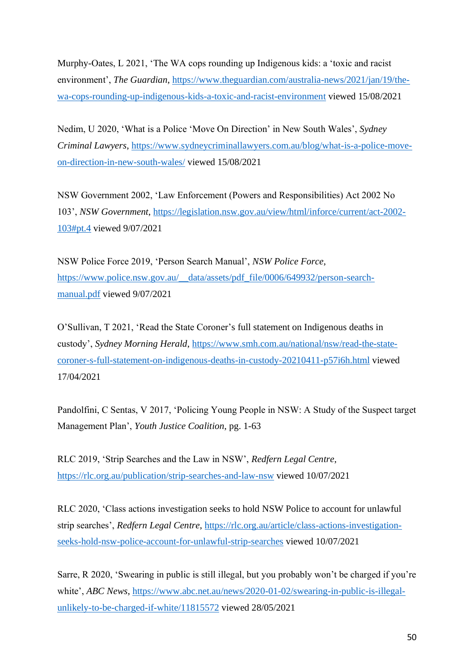Murphy-Oates, L 2021, 'The WA cops rounding up Indigenous kids: a 'toxic and racist environment', *The Guardian*, https://www.theguardian.com/australia-news/2021/jan/19/thewa-cops-rounding-up-indigenous-kids-a-toxic-and-racist-environment viewed 15/08/2021

Nedim, U 2020, 'What is a Police 'Move On Direction' in New South Wales', *Sydney Criminal Lawyers*, https://www.sydneycriminallawyers.com.au/blog/what-is-a-police-moveon-direction-in-new-south-wales/ viewed 15/08/2021

NSW Government 2002, 'Law Enforcement (Powers and Responsibilities) Act 2002 No 103', *NSW Government*, https://legislation.nsw.gov.au/view/html/inforce/current/act-2002- 103#pt.4 viewed 9/07/2021

NSW Police Force 2019, 'Person Search Manual', *NSW Police Force*, https://www.police.nsw.gov.au/\_\_data/assets/pdf\_file/0006/649932/person-searchmanual.pdf viewed 9/07/2021

O'Sullivan, T 2021, 'Read the State Coroner's full statement on Indigenous deaths in custody', *Sydney Morning Herald*, https://www.smh.com.au/national/nsw/read-the-statecoroner-s-full-statement-on-indigenous-deaths-in-custody-20210411-p57i6h.html viewed 17/04/2021

Pandolfini, C Sentas, V 2017, 'Policing Young People in NSW: A Study of the Suspect target Management Plan', *Youth Justice Coalition*, pg. 1-63

RLC 2019, 'Strip Searches and the Law in NSW', *Redfern Legal Centre*, https://rlc.org.au/publication/strip-searches-and-law-nsw viewed 10/07/2021

RLC 2020, 'Class actions investigation seeks to hold NSW Police to account for unlawful strip searches', *Redfern Legal Centre*, https://rlc.org.au/article/class-actions-investigationseeks-hold-nsw-police-account-for-unlawful-strip-searches viewed 10/07/2021

Sarre, R 2020, 'Swearing in public is still illegal, but you probably won't be charged if you're white', *ABC News*, https://www.abc.net.au/news/2020-01-02/swearing-in-public-is-illegalunlikely-to-be-charged-if-white/11815572 viewed 28/05/2021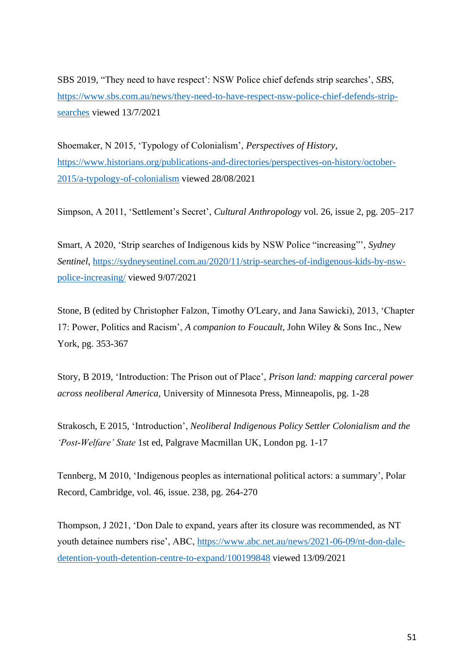SBS 2019, "They need to have respect': NSW Police chief defends strip searches', *SBS*, https://www.sbs.com.au/news/they-need-to-have-respect-nsw-police-chief-defends-stripsearches viewed 13/7/2021

Shoemaker, N 2015, 'Typology of Colonialism', *Perspectives of History*, https://www.historians.org/publications-and-directories/perspectives-on-history/october-2015/a-typology-of-colonialism viewed 28/08/2021

Simpson, A 2011, 'Settlement's Secret', *Cultural Anthropology* vol. 26, issue 2, pg. 205–217

Smart, A 2020, 'Strip searches of Indigenous kids by NSW Police "increasing"', *Sydney Sentinel*, https://sydneysentinel.com.au/2020/11/strip-searches-of-indigenous-kids-by-nswpolice-increasing/ viewed 9/07/2021

Stone, B (edited by Christopher Falzon, Timothy O'Leary, and Jana Sawicki), 2013, 'Chapter 17: Power, Politics and Racism', *A companion to Foucault*, John Wiley & Sons Inc., New York, pg. 353-367

Story, B 2019, 'Introduction: The Prison out of Place', *Prison land: mapping carceral power across neoliberal America,* University of Minnesota Press, Minneapolis, pg. 1-28

Strakosch, E 2015, 'Introduction', *Neoliberal Indigenous Policy Settler Colonialism and the 'Post-Welfare' State* 1st ed, Palgrave Macmillan UK, London pg. 1-17

Tennberg, M 2010, 'Indigenous peoples as international political actors: a summary', Polar Record, Cambridge, vol. 46, issue. 238, pg. 264-270

Thompson, J 2021, 'Don Dale to expand, years after its closure was recommended, as NT youth detainee numbers rise', ABC, https://www.abc.net.au/news/2021-06-09/nt-don-daledetention-youth-detention-centre-to-expand/100199848 viewed 13/09/2021